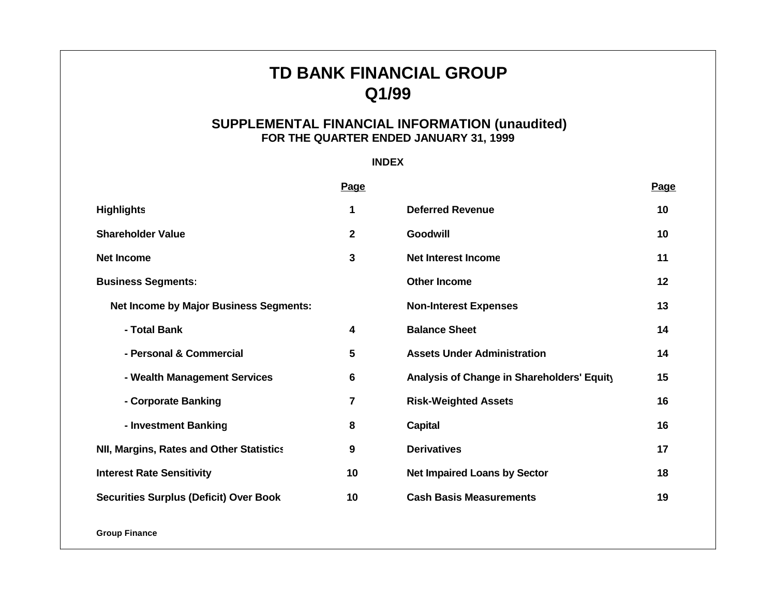# **TD BANK FINANCIAL GROUP Q1/99**

# **SUPPLEMENTAL FINANCIAL INFORMATION (unaudited) FOR THE QUARTER ENDED JANUARY 31, 1999**

# **INDEX**

|                                                 | <b>Page</b>             |                                            | Page |
|-------------------------------------------------|-------------------------|--------------------------------------------|------|
| <b>Highlights</b>                               | 1                       | <b>Deferred Revenue</b>                    | 10   |
| <b>Shareholder Value</b>                        | $\overline{\mathbf{2}}$ | <b>Goodwill</b>                            | 10   |
| <b>Net Income</b>                               | 3                       | <b>Net Interest Income</b>                 | 11   |
| <b>Business Segments:</b>                       |                         | <b>Other Income</b>                        | 12   |
| <b>Net Income by Major Business Segments:</b>   |                         | <b>Non-Interest Expenses</b>               | 13   |
| - Total Bank                                    | 4                       | <b>Balance Sheet</b>                       | 14   |
| - Personal & Commercial                         | 5                       | <b>Assets Under Administration</b>         | 14   |
| - Wealth Management Services                    | 6                       | Analysis of Change in Shareholders' Equity | 15   |
| - Corporate Banking                             | $\overline{7}$          | <b>Risk-Weighted Assets</b>                | 16   |
| - Investment Banking                            | 8                       | <b>Capital</b>                             | 16   |
| <b>NII, Margins, Rates and Other Statistics</b> | 9                       | <b>Derivatives</b>                         | 17   |
| <b>Interest Rate Sensitivity</b>                | 10                      | <b>Net Impaired Loans by Sector</b>        | 18   |
| <b>Securities Surplus (Deficit) Over Book</b>   | 10                      | <b>Cash Basis Measurements</b>             | 19   |

**Group Finance**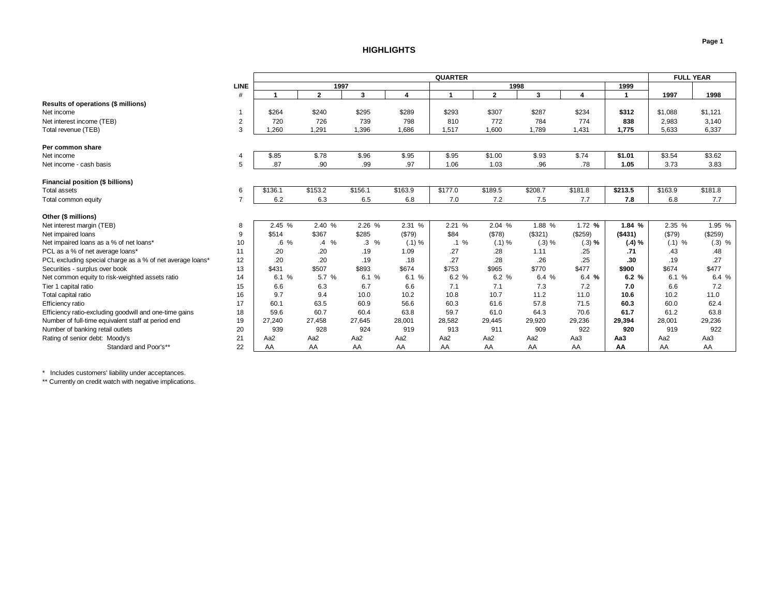### **HIGHLIGHTS**

<span id="page-1-0"></span>

|                                                                    |                | <b>QUARTER</b>  |                       |                   |                |                 |                 |                 |                         |         | <b>FULL YEAR</b> |          |
|--------------------------------------------------------------------|----------------|-----------------|-----------------------|-------------------|----------------|-----------------|-----------------|-----------------|-------------------------|---------|------------------|----------|
|                                                                    | <b>LINE</b>    |                 | 1997                  |                   |                |                 | 1998            |                 |                         | 1999    |                  |          |
|                                                                    | #              |                 | $\mathbf{2}$          | 3                 | $\overline{4}$ |                 | $\overline{2}$  | 3               | $\overline{\mathbf{4}}$ | -1      | 1997             | 1998     |
| Results of operations (\$ millions)                                |                |                 |                       |                   |                |                 |                 |                 |                         |         |                  |          |
| Net income                                                         |                | \$264           | \$240                 | \$295             | \$289          | \$293           | \$307           | \$287           | \$234                   | \$312   | \$1,088          | \$1,121  |
| Net interest income (TEB)                                          | $\overline{2}$ | 720             | 726                   | 739               | 798            | 810             | 772             | 784             | 774                     | 838     | 2,983            | 3,140    |
| Total revenue (TEB)                                                | 3              | .260            | 1,291                 | 1,396             | 1.686          | 1,517           | 1,600           | 1,789           | 1,431                   | 1,775   | 5,633            | 6,337    |
| Per common share                                                   |                |                 |                       |                   |                |                 |                 |                 |                         |         |                  |          |
| Net income                                                         |                | \$.85           | \$.78                 | \$.96             | \$.95          | \$.95           | \$1.00          | \$.93           | \$.74                   | \$1.01  | \$3.54           | \$3.62   |
| Net income - cash basis                                            | 5              | .87             | .90                   | .99               | .97            | 1.06            | 1.03            | .96             | .78                     | 1.05    | 3.73             | 3.83     |
|                                                                    |                |                 |                       |                   |                |                 |                 |                 |                         |         |                  |          |
| Financial position (\$ billions)                                   |                |                 |                       |                   |                |                 |                 |                 |                         |         |                  |          |
| Total assets                                                       | 6              | \$136.1         | \$153.2               | \$156.1           | \$163.9        | \$177.0         | \$189.5         | \$208.7         | \$181.8                 | \$213.5 | \$163.9          | \$181.8  |
| Total common equity                                                |                | 6.2             | 6.3                   | 6.5               | 6.8            | 7.0             | 7.2             | 7.5             | 7.7                     | 7.8     | 6.8              | 7.7      |
| Other (\$ millions)                                                |                |                 |                       |                   |                |                 |                 |                 |                         |         |                  |          |
| Net interest margin (TEB)                                          | 8              | 2.45 %          | 2.40 %                | 2.26 %            | 2.31 %         | 2.21 %          | 2.04 %          | 1.88 %          | 1.72 %                  | 1.84 %  | 2.35 %           | 1.95 %   |
| Net impaired loans                                                 | 9              | \$514           | \$367                 | \$285             | (\$79)         | \$84            | ( \$78)         | (\$321)         | (\$259)                 | (\$431) | (\$79)           | (\$259)  |
| Net impaired loans as a % of net loans*                            | 10             | $.6\%$          | $\%$<br>$\mathcal{A}$ | $\cdot$ 3<br>$\%$ | (.1) %         | $.1\%$          | (.1) %          | (.3) %          | $(.3)$ %                | (.4) %  | $(.1)$ %         | $(.3)$ % |
| PCL as a % of net average loans*                                   | 11             | .20             | .20                   | .19               | 1.09           | .27             | .28             | 1.11            | .25                     | .71     | .43              | .48      |
| PCL excluding special charge as a % of net average loans*          | 12             | .20             | .20                   | .19               | .18            | .27             | .28             | .26             | .25                     | .30     | .19              | .27      |
| Securities - surplus over book                                     | 13             | \$431           | \$507                 | \$893             | \$674          | \$753           | \$965           | \$770           | \$477                   | \$900   | \$674            | \$477    |
| Net common equity to risk-weighted assets ratio                    | 14             | 6.1%            | 5.7 %                 | 6.1%              | 6.1 %          | 6.2%            | 6.2%            | 6.4 %           | 6.4 %                   | 6.2%    | 6.1%             | 6.4 %    |
| Tier 1 capital ratio                                               | 15             | 6.6             | 6.3                   | 6.7               | 6.6            | 7.1             | 7.1             | 7.3             | 7.2                     | 7.0     | 6.6              | 7.2      |
| Total capital ratio                                                | 16             | 9.7             | 9.4                   | 10.0              | 10.2           | 10.8            | 10.7            | 11.2            | 11.0                    | 10.6    | 10.2             | 11.0     |
| Efficiency ratio                                                   | 17             | 60.1            | 63.5                  | 60.9              | 56.6           | 60.3            | 61.6            | 57.8            | 71.5                    | 60.3    | 60.0             | 62.4     |
| Efficiency ratio-excluding goodwill and one-time gains             | 18             | 59.6            | 60.7                  | 60.4              | 63.8           | 59.7            | 61.0            | 64.3            | 70.6                    | 61.7    | 61.2             | 63.8     |
| Number of full-time equivalent staff at period end                 | 19             | 27,240          | 27,458                | 27,645            | 28,001         | 28,582          | 29,445          | 29,920          | 29,236                  | 29,394  | 28,001           | 29,236   |
|                                                                    | 20             | 939             | 928                   | 924               | 919            | 913             | 911             | 909             | 922                     | 920     | 919              | 922      |
| Number of banking retail outlets<br>Rating of senior debt: Moody's | 21             | Aa <sub>2</sub> | Aa <sub>2</sub>       | Aa2               | Aa2            | Aa <sub>2</sub> | Aa <sub>2</sub> | Aa <sub>2</sub> | Aa3                     | АаЗ     | Aa <sub>2</sub>  | Aa3      |
|                                                                    | 22             | AA              | AA                    |                   | AA             | AA              | AA              |                 | AA                      | AA      | AA               | AA       |
| Standard and Poor's**                                              |                |                 |                       | AA                |                |                 |                 | AA              |                         |         |                  |          |

\* Includes customers' liability under acceptances.

\*\* Currently on credit watch with negative implications.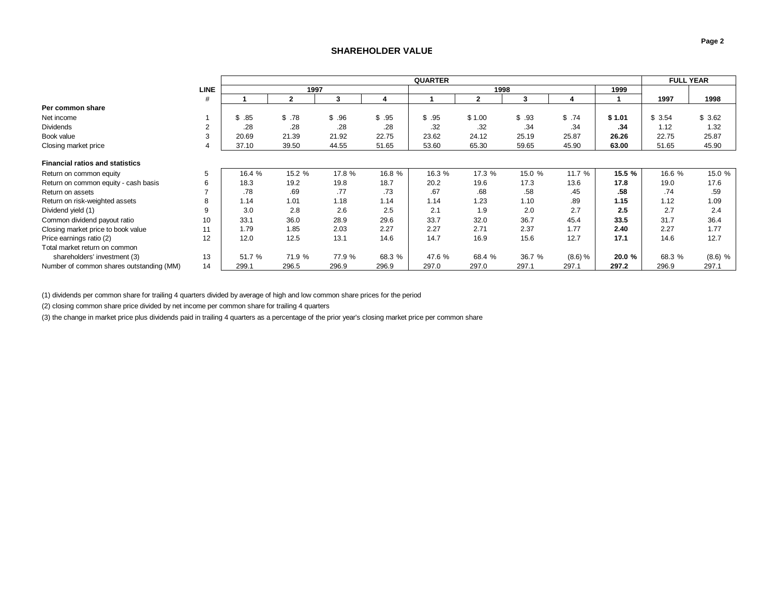## **SHAREHOLDER VALUE**

<span id="page-2-0"></span>

|                                          |             |        | <b>QUARTER</b> |        |        |        |        |        |           |        | <b>FULL YEAR</b> |           |
|------------------------------------------|-------------|--------|----------------|--------|--------|--------|--------|--------|-----------|--------|------------------|-----------|
|                                          | <b>LINE</b> |        | 1997           |        |        |        | 1998   |        |           | 1999   |                  |           |
|                                          | #           |        |                | 3      |        |        | 2      | 3      |           |        | 1997             | 1998      |
| Per common share                         |             |        |                |        |        |        |        |        |           |        |                  |           |
| Net income                               |             | \$.85  | \$.78          | \$.96  | \$.95  | \$.95  | \$1.00 | \$.93  | \$.74     | \$1.01 | \$3.54           | \$3.62    |
| <b>Dividends</b>                         | 2           | .28    | .28            | .28    | .28    | .32    | .32    | .34    | .34       | .34    | 1.12             | 1.32      |
| Book value                               | 3           | 20.69  | 21.39          | 21.92  | 22.75  | 23.62  | 24.12  | 25.19  | 25.87     | 26.26  | 22.75            | 25.87     |
| Closing market price                     |             | 37.10  | 39.50          | 44.55  | 51.65  | 53.60  | 65.30  | 59.65  | 45.90     | 63.00  | 51.65            | 45.90     |
| <b>Financial ratios and statistics</b>   |             |        |                |        |        |        |        |        |           |        |                  |           |
| Return on common equity                  | 5           | 16.4 % | 15.2 %         | 17.8 % | 16.8 % | 16.3 % | 17.3 % | 15.0 % | 11.7 %    | 15.5 % | 16.6 %           | 15.0 %    |
| Return on common equity - cash basis     | 6           | 18.3   | 19.2           | 19.8   | 18.7   | 20.2   | 19.6   | 17.3   | 13.6      | 17.8   | 19.0             | 17.6      |
| Return on assets                         |             | .78    | .69            | .77    | .73    | .67    | .68    | .58    | .45       | .58    | .74              | .59       |
| Return on risk-weighted assets           |             | 1.14   | 1.01           | 1.18   | 1.14   | 1.14   | 1.23   | 1.10   | .89       | 1.15   | 1.12             | 1.09      |
| Dividend yield (1)                       |             | 3.0    | 2.8            | 2.6    | 2.5    | 2.1    | 1.9    | 2.0    | 2.7       | 2.5    | 2.7              | 2.4       |
| Common dividend payout ratio             | 10          | 33.1   | 36.0           | 28.9   | 29.6   | 33.7   | 32.0   | 36.7   | 45.4      | 33.5   | 31.7             | 36.4      |
| Closing market price to book value       | 11          | 1.79   | 1.85           | 2.03   | 2.27   | 2.27   | 2.71   | 2.37   | 1.77      | 2.40   | 2.27             | 1.77      |
| Price earnings ratio (2)                 | 12          | 12.0   | 12.5           | 13.1   | 14.6   | 14.7   | 16.9   | 15.6   | 12.7      | 17.1   | 14.6             | 12.7      |
| Total market return on common            |             |        |                |        |        |        |        |        |           |        |                  |           |
| shareholders' investment (3)             | 13          | 51.7 % | 71.9 %         | 77.9 % | 68.3 % | 47.6 % | 68.4 % | 36.7 % | $(8.6)$ % | 20.0 % | 68.3 %           | $(8.6)$ % |
| Number of common shares outstanding (MM) | 14          | 299.1  | 296.5          | 296.9  | 296.9  | 297.0  | 297.0  | 297.1  | 297.1     | 297.2  | 296.9            | 297.1     |

(1) dividends per common share for trailing 4 quarters divided by average of high and low common share prices for the period

(2) closing common share price divided by net income per common share for trailing 4 quarters

(3) the change in market price plus dividends paid in trailing 4 quarters as a percentage of the prior year's closing market price per common share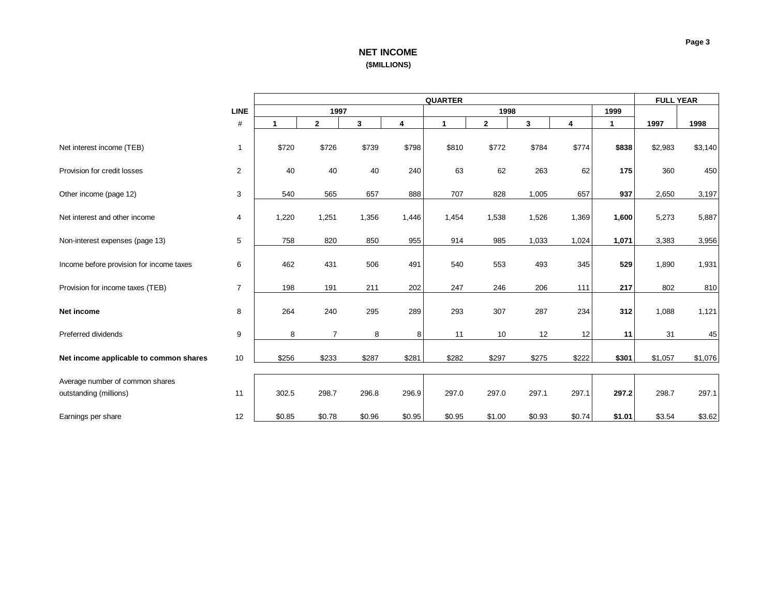# **NET INCOME (\$MILLIONS)**

<span id="page-3-0"></span>

|                                                           |                         | <b>QUARTER</b> |                |        |        |                      |                |        |        | <b>FULL YEAR</b> |         |         |
|-----------------------------------------------------------|-------------------------|----------------|----------------|--------|--------|----------------------|----------------|--------|--------|------------------|---------|---------|
|                                                           | <b>LINE</b>             |                | 1997           |        |        |                      | 1998           |        |        | 1999             |         |         |
|                                                           | $\#$                    | 1              | $\mathbf{2}$   | 3      | 4      | $\blacktriangleleft$ | $\overline{2}$ | 3      | 4      | 1                | 1997    | 1998    |
| Net interest income (TEB)                                 | 1                       | \$720          | \$726          | \$739  | \$798  | \$810                | \$772          | \$784  | \$774  | \$838            | \$2,983 | \$3,140 |
| Provision for credit losses                               | $\overline{\mathbf{c}}$ | 40             | 40             | 40     | 240    | 63                   | 62             | 263    | 62     | 175              | 360     | 450     |
| Other income (page 12)                                    | 3                       | 540            | 565            | 657    | 888    | 707                  | 828            | 1,005  | 657    | 937              | 2,650   | 3,197   |
| Net interest and other income                             | 4                       | 1,220          | 1,251          | 1,356  | 1,446  | 1,454                | 1,538          | 1,526  | 1,369  | 1,600            | 5,273   | 5,887   |
| Non-interest expenses (page 13)                           | 5                       | 758            | 820            | 850    | 955    | 914                  | 985            | 1,033  | 1,024  | 1,071            | 3,383   | 3,956   |
| Income before provision for income taxes                  | 6                       | 462            | 431            | 506    | 491    | 540                  | 553            | 493    | 345    | 529              | 1,890   | 1,931   |
| Provision for income taxes (TEB)                          | $\overline{7}$          | 198            | 191            | 211    | 202    | 247                  | 246            | 206    | 111    | 217              | 802     | 810     |
| Net income                                                | 8                       | 264            | 240            | 295    | 289    | 293                  | 307            | 287    | 234    | 312              | 1,088   | 1,121   |
| Preferred dividends                                       | 9                       | 8              | $\overline{7}$ | 8      | 8      | 11                   | 10             | 12     | 12     | 11               | 31      | 45      |
| Net income applicable to common shares                    | 10                      | \$256          | \$233          | \$287  | \$281  | \$282                | \$297          | \$275  | \$222  | \$301            | \$1,057 | \$1,076 |
| Average number of common shares<br>outstanding (millions) | 11                      | 302.5          | 298.7          | 296.8  | 296.9  | 297.0                | 297.0          | 297.1  | 297.1  | 297.2            | 298.7   | 297.1   |
| Earnings per share                                        | 12                      | \$0.85         | \$0.78         | \$0.96 | \$0.95 | \$0.95               | \$1.00         | \$0.93 | \$0.74 | \$1.01           | \$3.54  | \$3.62  |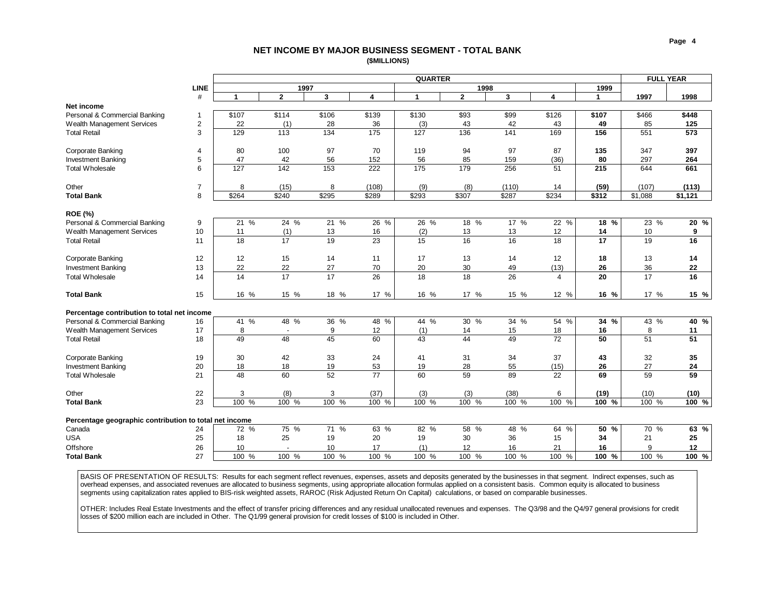### **NET INCOME BY MAJOR BUSINESS SEGMENT - TOTAL BANK (\$MILLIONS)**

<span id="page-4-0"></span>

|                                                        |                | <b>QUARTER</b> |                 |                  |        |                      |                 |              |                         | <b>FULL YEAR</b> |                 |         |
|--------------------------------------------------------|----------------|----------------|-----------------|------------------|--------|----------------------|-----------------|--------------|-------------------------|------------------|-----------------|---------|
|                                                        | <b>LINE</b>    |                | 1997            |                  |        |                      | 1998            |              |                         | 1999             |                 |         |
|                                                        | #              | $\mathbf{1}$   | $\overline{2}$  | $\mathbf{3}$     | 4      | $\blacktriangleleft$ | $\overline{2}$  | $\mathbf{3}$ | $\overline{\mathbf{4}}$ | $\mathbf{1}$     | 1997            | 1998    |
| Net income                                             |                |                |                 |                  |        |                      |                 |              |                         |                  |                 |         |
| Personal & Commercial Banking                          | $\mathbf{1}$   | \$107          | \$114           | \$106            | \$139  | \$130                | \$93            | \$99         | \$126                   | \$107            | \$466           | \$448   |
| Wealth Management Services                             | 2              | 22             | (1)             | 28               | 36     | (3)                  | 43              | 42           | 43                      | 49               | 85              | 125     |
| <b>Total Retail</b>                                    | 3              | 129            | 113             | 134              | 175    | 127                  | 136             | 141          | 169                     | 156              | 551             | 573     |
| Corporate Banking                                      | $\overline{4}$ | 80             | 100             | 97               | 70     | 119                  | 94              | 97           | 87                      | 135              | 347             | 397     |
| <b>Investment Banking</b>                              | 5              | 47             | 42              | 56               | 152    | 56                   | 85              | 159          | (36)                    | 80               | 297             | 264     |
| <b>Total Wholesale</b>                                 | 6              | 127            | 142             | $\overline{153}$ | 222    | 175                  | 179             | 256          | 51                      | 215              | 644             | 661     |
| Other                                                  | $\overline{7}$ | 8              | (15)            | 8                | (108)  | (9)                  | (8)             | (110)        | 14                      | (59)             | (107)           | (113)   |
| <b>Total Bank</b>                                      | 8              | \$264          | \$240           | \$295            | \$289  | \$293                | \$307           | \$287        | \$234                   | \$312            | \$1,088         | \$1,121 |
|                                                        |                |                |                 |                  |        |                      |                 |              |                         |                  |                 |         |
| <b>ROE (%)</b><br>Personal & Commercial Banking        | 9              | 21 %           | 24 %            | 21 %             | $26\%$ | 26 %                 | 18%             | 17 %         | 22 %                    | 18 %             | 23 %            | $20\%$  |
| Wealth Management Services                             | 10             | 11             | (1)             | 13               | 16     | (2)                  | 13              | 13           | 12                      | 14               | 10              | 9       |
| <b>Total Retail</b>                                    | 11             | 18             | 17              | 19               | 23     | 15                   | 16              | 16           | 18                      | 17               | 19              | 16      |
|                                                        |                |                |                 |                  |        |                      |                 |              |                         |                  |                 |         |
| Corporate Banking                                      | 12             | 12             | 15              | 14               | 11     | 17                   | 13              | 14           | 12                      | 18               | 13              | 14      |
| <b>Investment Banking</b>                              | 13             | 22             | 22              | 27               | 70     | 20                   | 30              | 49           | (13)                    | 26               | 36              | 22      |
| <b>Total Wholesale</b>                                 | 14             | 14             | 17              | 17               | 26     | 18                   | 18              | 26           | $\overline{4}$          | 20               | 17              | 16      |
| <b>Total Bank</b>                                      | 15             | 16 %           | 15 %            | 18 %             | 17 %   | 16 %                 | 17 %            | 15 %         | 12 %                    | 16 %             | 17 %            | 15 %    |
| Percentage contribution to total net income            |                |                |                 |                  |        |                      |                 |              |                         |                  |                 |         |
| Personal & Commercial Banking                          | 16             | 41 %           | $48\frac{9}{6}$ | $36\frac{9}{6}$  | 48%    | 44 %                 | $30\frac{9}{6}$ | 34 %         | 54 %                    | 34 %             | $43\frac{9}{6}$ | 40 %    |
| Wealth Management Services                             | 17             | 8              |                 | 9                | 12     | (1)                  | 14              | 15           | 18                      | 16               | 8               | 11      |
| <b>Total Retail</b>                                    | 18             | 49             | 48              | 45               | 60     | 43                   | 44              | 49           | 72                      | 50               | 51              | 51      |
| Corporate Banking                                      | 19             | 30             | 42              | 33               | 24     | 41                   | 31              | 34           | 37                      | 43               | 32              | 35      |
| <b>Investment Banking</b>                              | 20             | 18             | 18              | 19               | 53     | 19                   | 28              | 55           | (15)                    | 26               | 27              | 24      |
| <b>Total Wholesale</b>                                 | 21             | 48             | 60              | 52               | 77     | 60                   | 59              | 89           | 22                      | 69               | 59              | 59      |
| Other                                                  | 22             | 3              | (8)             | 3                | (37)   | (3)                  | (3)             | (38)         | 6                       | (19)             | (10)            | (10)    |
| <b>Total Bank</b>                                      | 23             | 100%           | 100 %           | 100 %            | 100%   | 100%                 | 100 %           | 100 %        | 100 %                   | 100%             | 100 %           | 100%    |
|                                                        |                |                |                 |                  |        |                      |                 |              |                         |                  |                 |         |
| Percentage geographic contribution to total net income |                |                |                 |                  |        |                      |                 |              |                         |                  |                 |         |
| Canada                                                 | 24             | 72 %           | 75 %            | 71%              | 63 %   | 82 %                 | 58 %            | 48 %         | 64%                     | 50%              | 70 %            | 63 %    |
| <b>USA</b>                                             | 25             | 18             | 25              | 19               | 20     | 19                   | 30              | 36           | 15                      | 34               | 21              | 25      |
| Offshore                                               | 26             | 10             |                 | 10               | 17     | (1)                  | 12              | 16           | 21                      | 16               | 9               | 12      |
| <b>Total Bank</b>                                      | 27             | 100 %          | 100 %           | 100 %            | 100 %  | 100 %                | 100 %           | 100 %        | 100 %                   | 100 %            | 100 %           | 100 %   |
|                                                        |                |                |                 |                  |        |                      |                 |              |                         |                  |                 |         |

BASIS OF PRESENTATION OF RESULTS: Results for each segment reflect revenues, expenses, assets and deposits generated by the businesses in that segment. Indirect expenses, such as overhead expenses, and associated revenues are allocated to business segments, using appropriate allocation formulas applied on a consistent basis. Common equity is allocated to business segments using capitalization rates applied to BIS-risk weighted assets, RAROC (Risk Adjusted Return On Capital) calculations, or based on comparable businesses.

OTHER: Includes Real Estate Investments and the effect of transfer pricing differences and any residual unallocated revenues and expenses. The Q3/98 and the Q4/97 general provisions for credit losses of \$200 million each are included in Other. The Q1/99 general provision for credit losses of \$100 is included in Other.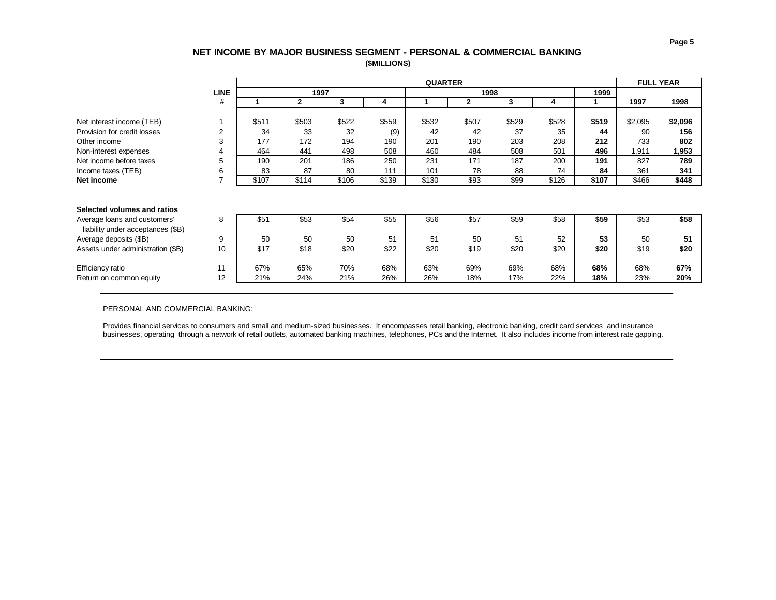# **NET INCOME BY MAJOR BUSINESS SEGMENT - PERSONAL & COMMERCIAL BANKING (\$MILLIONS)**

<span id="page-5-0"></span>

|                                   |                |       |              |       |       | <b>QUARTER</b> |       |       |       |       | <b>FULL YEAR</b> |         |
|-----------------------------------|----------------|-------|--------------|-------|-------|----------------|-------|-------|-------|-------|------------------|---------|
|                                   | <b>LINE</b>    |       | 1997         |       |       |                | 1998  |       |       | 1999  |                  |         |
|                                   | #              |       | $\mathbf{2}$ | 3     | 4     |                | 2     | 3     | 4     |       | 1997             | 1998    |
|                                   |                |       |              |       |       |                |       |       |       |       |                  |         |
| Net interest income (TEB)         |                | \$511 | \$503        | \$522 | \$559 | \$532          | \$507 | \$529 | \$528 | \$519 | \$2,095          | \$2,096 |
| Provision for credit losses       | $\overline{2}$ | 34    | 33           | 32    | (9)   | 42             | 42    | 37    | 35    | 44    | 90               | 156     |
| Other income                      | 3              | 177   | 172          | 194   | 190   | 201            | 190   | 203   | 208   | 212   | 733              | 802     |
| Non-interest expenses             | 4              | 464   | 441          | 498   | 508   | 460            | 484   | 508   | 501   | 496   | 1,911            | 1,953   |
| Net income before taxes           | 5              | 190   | 201          | 186   | 250   | 231            | 171   | 187   | 200   | 191   | 827              | 789     |
| Income taxes (TEB)                | 6              | 83    | 87           | 80    | 111   | 101            | 78    | 88    | 74    | 84    | 361              | 341     |
| Net income                        | ⇁              | \$107 | \$114        | \$106 | \$139 | \$130          | \$93  | \$99  | \$126 | \$107 | \$466            | \$448   |
|                                   |                |       |              |       |       |                |       |       |       |       |                  |         |
|                                   |                |       |              |       |       |                |       |       |       |       |                  |         |
| Selected volumes and ratios       |                |       |              |       |       |                |       |       |       |       |                  |         |
| Average loans and customers'      | 8              | \$51  | \$53         | \$54  | \$55  | \$56           | \$57  | \$59  | \$58  | \$59  | \$53             | \$58    |
| liability under acceptances (\$B) |                |       |              |       |       |                |       |       |       |       |                  |         |
| Average deposits (\$B)            | 9              | 50    | 50           | 50    | 51    | 51             | 50    | 51    | 52    | 53    | 50               | 51      |
| Assets under administration (\$B) | 10             | \$17  | \$18         | \$20  | \$22  | \$20           | \$19  | \$20  | \$20  | \$20  | \$19             | \$20    |
|                                   |                |       |              |       |       |                |       |       |       |       |                  |         |
| Efficiency ratio                  | 11             | 67%   | 65%          | 70%   | 68%   | 63%            | 69%   | 69%   | 68%   | 68%   | 68%              | 67%     |
| Return on common equity           | 12             | 21%   | 24%          | 21%   | 26%   | 26%            | 18%   | 17%   | 22%   | 18%   | 23%              | 20%     |

### PERSONAL AND COMMERCIAL BANKING:

Provides financial services to consumers and small and medium-sized businesses. It encompasses retail banking, electronic banking, credit card services and insurance businesses, operating through a network of retail outlets, automated banking machines, telephones, PCs and the Internet. It also includes income from interest rate gapping.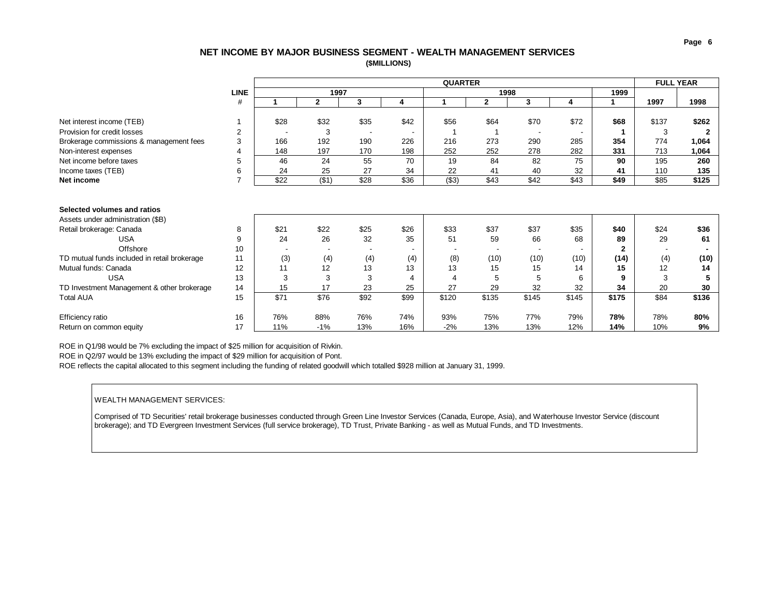### **NET INCOME BY MAJOR BUSINESS SEGMENT - WEALTH MANAGEMENT SERVICES (\$MILLIONS)**

<span id="page-6-0"></span>

|                                                                  |             |      |              |                          |      | <b>QUARTER</b> |       |       |       |              | <b>FULL YEAR</b> |       |
|------------------------------------------------------------------|-------------|------|--------------|--------------------------|------|----------------|-------|-------|-------|--------------|------------------|-------|
|                                                                  | <b>LINE</b> |      | 1997         |                          |      |                | 1998  |       |       | 1999         |                  |       |
|                                                                  | #           |      | $\mathbf{2}$ | 3                        | 4    |                | 2     | 3     | 4     |              | 1997             | 1998  |
| Net interest income (TEB)                                        |             | \$28 | \$32         | \$35                     | \$42 | \$56           | \$64  | \$70  | \$72  | \$68         | \$137            | \$262 |
| Provision for credit losses                                      | 2           |      | 3            | $\overline{\phantom{a}}$ |      |                |       |       |       |              | 3                |       |
| Brokerage commissions & management fees                          | 3           | 166  | 192          | 190                      | 226  | 216            | 273   | 290   | 285   | 354          | 774              | 1,064 |
| Non-interest expenses                                            | 4           | 148  | 197          | 170                      | 198  | 252            | 252   | 278   | 282   | 331          | 713              | 1,064 |
| Net income before taxes                                          | 5           | 46   | 24           | 55                       | 70   | 19             | 84    | 82    | 75    | 90           | 195              | 260   |
| Income taxes (TEB)                                               | 6           | 24   | 25           | 27                       | 34   | 22             | 41    | 40    | 32    | 41           | 110              | 135   |
| Net income                                                       | 7           | \$22 | (\$1)        | \$28                     | \$36 | ( \$3)         | \$43  | \$42  | \$43  | \$49         | \$85             | \$125 |
| Selected volumes and ratios<br>Assets under administration (\$B) |             |      |              |                          |      |                |       |       |       |              |                  |       |
|                                                                  |             |      |              |                          |      |                |       |       |       |              |                  |       |
| Retail brokerage: Canada                                         | 8           | \$21 | \$22         | \$25                     | \$26 | \$33           | \$37  | \$37  | \$35  | \$40         | \$24             | \$36  |
| <b>USA</b>                                                       | 9           | 24   | 26           | 32                       | 35   | 51             | 59    | 66    | 68    | 89           | 29               | 61    |
| Offshore                                                         | 10          |      |              |                          |      |                |       |       |       | $\mathbf{2}$ |                  |       |
| TD mutual funds included in retail brokerage                     | 11          | (3)  | (4)          | (4)                      | (4)  | (8)            | (10)  | (10)  | (10)  | (14)         | (4)              | (10)  |
| Mutual funds: Canada                                             | 12          | 11   | 12           | 13                       | 13   | 13             | 15    | 15    | 14    | 15           | 12               | 14    |
| <b>USA</b>                                                       | 13          | 3    | 3            | 3                        | 4    | 4              | 5     | 5     | 6     | 9            | 3                |       |
| TD Investment Management & other brokerage                       | 14          | 15   | 17           | 23                       | 25   | 27             | 29    | 32    | 32    | 34           | 20               | 30    |
| <b>Total AUA</b>                                                 | 15          | \$71 | \$76         | \$92                     | \$99 | \$120          | \$135 | \$145 | \$145 | \$175        | \$84             | \$136 |
| Efficiency ratio                                                 | 16          | 76%  | 88%          | 76%                      | 74%  | 93%            | 75%   | 77%   | 79%   | 78%          | 78%              | 80%   |
| Return on common equity                                          | 17          | 11%  | $-1%$        | 13%                      | 16%  | $-2%$          | 13%   | 13%   | 12%   | 14%          | 10%              | 9%    |

ROE in Q1/98 would be 7% excluding the impact of \$25 million for acquisition of Rivkin.

ROE in Q2/97 would be 13% excluding the impact of \$29 million for acquisition of Pont.

ROE reflects the capital allocated to this segment including the funding of related goodwill which totalled \$928 million at January 31, 1999.

#### WEALTH MANAGEMENT SERVICES:

Comprised of TD Securities' retail brokerage businesses conducted through Green Line Investor Services (Canada, Europe, Asia), and Waterhouse Investor Service (discount brokerage); and TD Evergreen Investment Services (full service brokerage), TD Trust, Private Banking - as well as Mutual Funds, and TD Investments.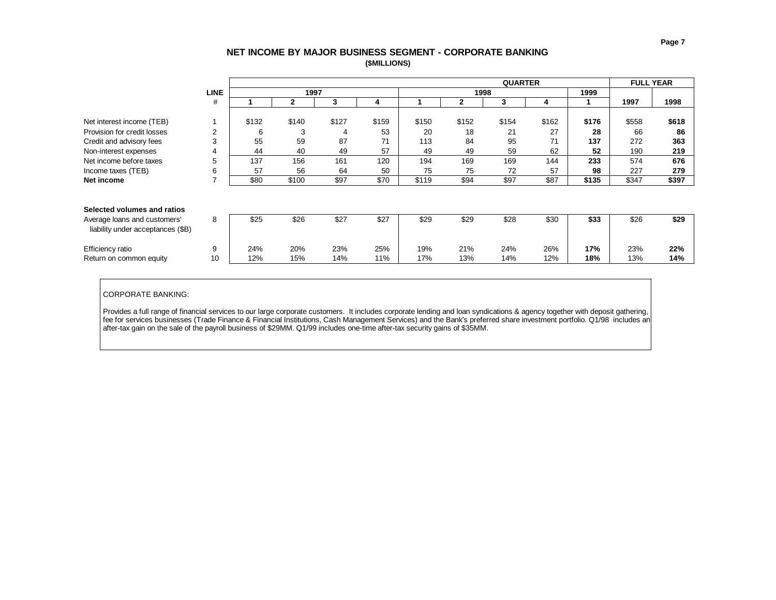<span id="page-7-0"></span>

|                                   |                |       |       |       |       |       |              |       | <b>FULL YEAR</b> |       |       |       |
|-----------------------------------|----------------|-------|-------|-------|-------|-------|--------------|-------|------------------|-------|-------|-------|
|                                   | <b>LINE</b>    |       | 1997  |       |       |       | 1998         |       |                  | 1999  |       |       |
|                                   | #              |       | 2     | 3     | 4     |       | $\mathbf{2}$ | 3     | 4                |       | 1997  | 1998  |
|                                   |                |       |       |       |       |       |              |       |                  |       |       |       |
| Net interest income (TEB)         |                | \$132 | \$140 | \$127 | \$159 | \$150 | \$152        | \$154 | \$162            | \$176 | \$558 | \$618 |
| Provision for credit losses       | $\overline{2}$ | 6     | 3     | 4     | 53    | 20    | 18           | 21    | 27               | 28    | 66    | 86    |
| Credit and advisory fees          | 3              | 55    | 59    | 87    | 71    | 113   | 84           | 95    | 71               | 137   | 272   | 363   |
| Non-interest expenses             | 4              | 44    | 40    | 49    | 57    | 49    | 49           | 59    | 62               | 52    | 190   | 219   |
| Net income before taxes           | 5              | 137   | 156   | 161   | 120   | 194   | 169          | 169   | 144              | 233   | 574   | 676   |
| Income taxes (TEB)                | 6              | 57    | 56    | 64    | 50    | 75    | 75           | 72    | 57               | 98    | 227   | 279   |
| Net income                        | $\overline{7}$ | \$80  | \$100 | \$97  | \$70  | \$119 | \$94         | \$97  | \$87             | \$135 | \$347 | \$397 |
|                                   |                |       |       |       |       |       |              |       |                  |       |       |       |
|                                   |                |       |       |       |       |       |              |       |                  |       |       |       |
| Selected volumes and ratios       |                |       |       |       |       |       |              |       |                  |       |       |       |
| Average loans and customers'      | 8              | \$25  | \$26  | \$27  | \$27  | \$29  | \$29         | \$28  | \$30             | \$33  | \$26  | \$29  |
| liability under acceptances (\$B) |                |       |       |       |       |       |              |       |                  |       |       |       |
|                                   |                |       |       |       |       |       |              |       |                  |       |       |       |
| Efficiency ratio                  | 9              | 24%   | 20%   | 23%   | 25%   | 19%   | 21%          | 24%   | 26%              | 17%   | 23%   | 22%   |
| Return on common equity           | 10             | 12%   | 15%   | 14%   | 11%   | 17%   | 13%          | 14%   | 12%              | 18%   | 13%   | 14%   |

CORPORATE BANKING:

Provides a full range of financial services to our large corporate customers. It includes corporate lending and loan syndications & agency together with deposit gathering, fee for services businesses (Trade Finance & Financial Institutions, Cash Management Services) and the Bank's preferred share investment portfolio. Q1/98 includes an after-tax gain on the sale of the payroll business of \$29MM. Q1/99 includes one-time after-tax security gains of \$35MM.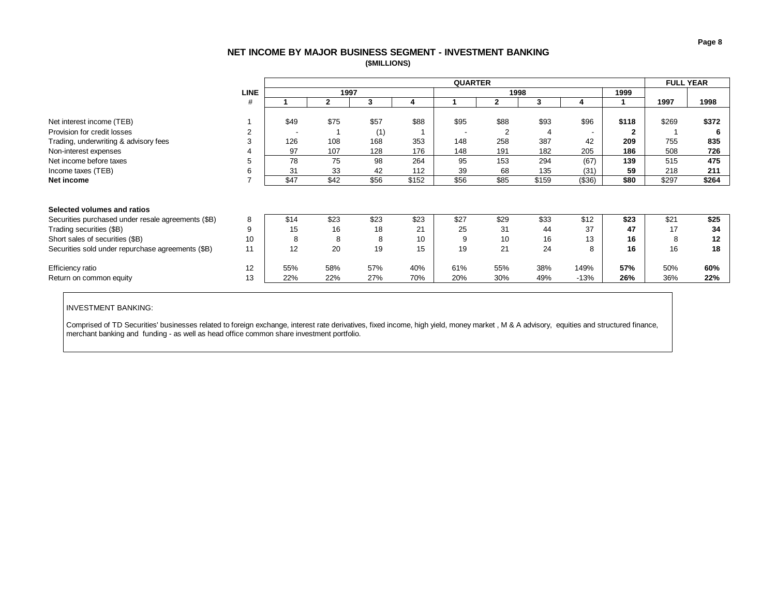# **NET INCOME BY MAJOR BUSINESS SEGMENT - INVESTMENT BANKING (\$MILLIONS)**

<span id="page-8-0"></span>

|                                                    |                | <b>QUARTER</b> |              |      |       |      |                |       |                          |              |       | <b>FULL YEAR</b> |
|----------------------------------------------------|----------------|----------------|--------------|------|-------|------|----------------|-------|--------------------------|--------------|-------|------------------|
|                                                    | <b>LINE</b>    |                | 1997         |      |       |      | 1998           |       |                          | 1999         |       |                  |
|                                                    | #              |                | $\mathbf{2}$ | 3    | 4     |      | $\overline{2}$ | 3     | 4                        |              | 1997  | 1998             |
|                                                    |                |                |              |      |       |      |                |       |                          |              |       |                  |
| Net interest income (TEB)                          |                | \$49           | \$75         | \$57 | \$88  | \$95 | \$88           | \$93  | \$96                     | \$118        | \$269 | \$372            |
| Provision for credit losses                        | $\overline{2}$ |                |              | (1)  |       |      | $\overline{2}$ | 4     | $\overline{\phantom{a}}$ | $\mathbf{2}$ |       |                  |
| Trading, underwriting & advisory fees              | 3              | 126            | 108          | 168  | 353   | 148  | 258            | 387   | 42                       | 209          | 755   | 835              |
| Non-interest expenses                              | 4              | 97             | 107          | 128  | 176   | 148  | 191            | 182   | 205                      | 186          | 508   | 726              |
| Net income before taxes                            | 5              | 78             | 75           | 98   | 264   | 95   | 153            | 294   | (67)                     | 139          | 515   | 475              |
| Income taxes (TEB)                                 | 6              | 31             | 33           | 42   | 112   | 39   | 68             | 135   | (31)                     | 59           | 218   | 211              |
| Net income                                         | $\overline{ }$ | \$47           | \$42         | \$56 | \$152 | \$56 | \$85           | \$159 | (\$36)                   | \$80         | \$297 | \$264            |
|                                                    |                |                |              |      |       |      |                |       |                          |              |       |                  |
|                                                    |                |                |              |      |       |      |                |       |                          |              |       |                  |
| Selected volumes and ratios                        |                |                |              |      |       |      |                |       |                          |              |       |                  |
| Securities purchased under resale agreements (\$B) | 8              | \$14           | \$23         | \$23 | \$23  | \$27 | \$29           | \$33  | \$12                     | \$23         | \$21  | \$25             |
| Trading securities (\$B)                           | 9              | 15             | 16           | 18   | 21    | 25   | 31             | 44    | 37                       | 47           | 17    | 34               |
| Short sales of securities (\$B)                    | 10             | 8              | 8            | 8    | 10    | 9    | 10             | 16    | 13                       | 16           | 8     | 12               |
| Securities sold under repurchase agreements (\$B)  | 11             | 12             | 20           | 19   | 15    | 19   | 21             | 24    | 8                        | 16           | 16    | 18               |
|                                                    |                |                |              |      |       |      |                |       |                          |              |       |                  |
| Efficiency ratio                                   | 12             | 55%            | 58%          | 57%  | 40%   | 61%  | 55%            | 38%   | 149%                     | 57%          | 50%   | 60%              |
| Return on common equity                            | 13             | 22%            | 22%          | 27%  | 70%   | 20%  | 30%            | 49%   | $-13%$                   | 26%          | 36%   | 22%              |

INVESTMENT BANKING:

Comprised of TD Securities' businesses related to foreign exchange, interest rate derivatives, fixed income, high yield, money market , M & A advisory, equities and structured finance, merchant banking and funding - as well as head office common share investment portfolio.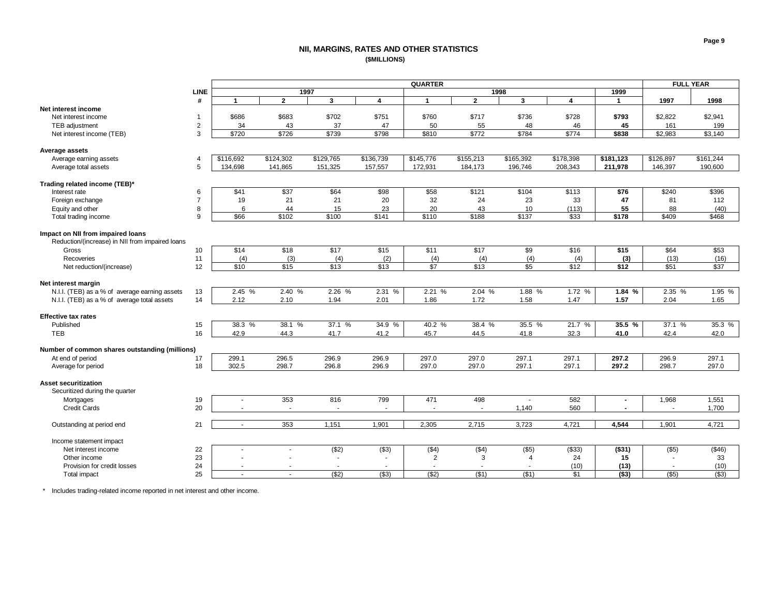### **NII, MARGINS, RATES AND OTHER STATISTICS (\$MILLIONS)**

<span id="page-9-0"></span>

|                                                 | <b>QUARTER</b> |           |                          |                  |           |                |                  |                | <b>FULL YEAR</b>        |              |           |           |
|-------------------------------------------------|----------------|-----------|--------------------------|------------------|-----------|----------------|------------------|----------------|-------------------------|--------------|-----------|-----------|
|                                                 | <b>LINE</b>    |           | 1997                     |                  |           |                | 1998             |                |                         | 1999         |           |           |
|                                                 | #              | 1         | $\overline{2}$           | 3                | 4         | $\overline{1}$ | $\mathbf{2}$     | 3              | $\overline{\mathbf{4}}$ | $\mathbf{1}$ | 1997      | 1998      |
| Net interest income                             |                |           |                          |                  |           |                |                  |                |                         |              |           |           |
| Net interest income                             | $\mathbf{1}$   | \$686     | \$683                    | \$702            | \$751     | \$760          | \$717            | \$736          | \$728                   | \$793        | \$2,822   | \$2,941   |
| TEB adjustment                                  | $\overline{c}$ | 34        | 43                       | 37               | 47        | 50             | 55               | 48             | 46                      | 45           | 161       | 199       |
| Net interest income (TEB)                       | 3              | \$720     | \$726                    | \$739            | \$798     | \$810          | \$772            | \$784          | \$774                   | \$838        | \$2,983   | \$3,140   |
|                                                 |                |           |                          |                  |           |                |                  |                |                         |              |           |           |
| <b>Average assets</b>                           |                |           |                          |                  |           |                |                  |                |                         |              |           |           |
| Average earning assets                          | $\overline{4}$ | \$116,692 | \$124,302                | \$129,765        | \$136,739 | \$145,776      | \$155,213        | \$165,392      | \$178,398               | \$181,123    | \$126,897 | \$161,244 |
| Average total assets                            | 5              | 134,698   | 141,865                  | 151,325          | 157,557   | 172,931        | 184,173          | 196,746        | 208,343                 | 211,978      | 146,397   | 190,600   |
|                                                 |                |           |                          |                  |           |                |                  |                |                         |              |           |           |
| Trading related income (TEB)*                   |                |           |                          |                  |           |                |                  |                |                         |              |           |           |
| Interest rate                                   | 6              | \$41      | \$37                     | \$64             | \$98      | \$58           | \$121            | \$104          | \$113                   | \$76         | \$240     | \$396     |
| Foreign exchange                                | $\overline{7}$ | 19        | 21                       | 21               | 20        | 32             | 24               | 23             | 33                      | 47           | 81        | 112       |
| Equity and other                                | 8              | 6         | 44                       | 15               | 23        | 20             | 43               | 10             | (113)                   | 55           | 88        | (40)      |
| Total trading income                            | 9              | \$66      | \$102                    | \$100            | \$141     | \$110          | \$188            | \$137          | \$33                    | \$178        | \$409     | \$468     |
|                                                 |                |           |                          |                  |           |                |                  |                |                         |              |           |           |
| Impact on NII from impaired loans               |                |           |                          |                  |           |                |                  |                |                         |              |           |           |
| Reduction/(increase) in NII from impaired loans |                |           |                          |                  |           |                |                  |                |                         |              |           |           |
| Gross                                           | 10             | \$14      | \$18                     | \$17             | \$15      | \$11           | \$17             | \$9            | \$16                    | \$15         | \$64      | \$53      |
| Recoveries                                      | 11             | (4)       | (3)                      | (4)              | (2)       | (4)            | (4)              | (4)            | (4)                     | (3)          | (13)      | (16)      |
| Net reduction/(increase)                        | 12             | \$10      | \$15                     | $\overline{$13}$ | \$13      | \$7            | $\overline{$13}$ | \$5            | \$12                    | \$12         | \$51      | \$37      |
|                                                 |                |           |                          |                  |           |                |                  |                |                         |              |           |           |
| Net interest margin                             |                |           |                          |                  |           |                |                  |                |                         |              |           |           |
| N.I.I. (TEB) as a % of average earning assets   | 13             | 2.45 %    | 2.40 %                   | 2.26 %           | 2.31 %    | 2.21 %         | 2.04 %           | 1.88 %         | 1.72 %                  | 1.84 %       | 2.35 %    | 1.95 %    |
| N.I.I. (TEB) as a % of average total assets     | 14             | 2.12      | 2.10                     | 1.94             | 2.01      | 1.86           | 1.72             | 1.58           | 1.47                    | 1.57         | 2.04      | 1.65      |
|                                                 |                |           |                          |                  |           |                |                  |                |                         |              |           |           |
| <b>Effective tax rates</b>                      |                |           |                          |                  |           |                |                  |                |                         |              |           |           |
| Published                                       | 15             | 38.3 %    | 38.1 %                   | 37.1 %           | 34.9 %    | 40.2 %         | 38.4 %           | 35.5 %         | 21.7 %                  | 35.5 %       | 37.1 %    | 35.3 %    |
| <b>TEB</b>                                      | 16             | 42.9      | 44.3                     | 41.7             | 41.2      | 45.7           | 44.5             | 41.8           | 32.3                    | 41.0         | 42.4      | 42.0      |
|                                                 |                |           |                          |                  |           |                |                  |                |                         |              |           |           |
| Number of common shares outstanding (millions)  |                |           |                          |                  |           |                |                  |                |                         |              |           |           |
| At end of period                                | 17             | 299.1     | 296.5                    | 296.9            | 296.9     | 297.0          | 297.0            | 297.1          | 297.1                   | 297.2        | 296.9     | 297.1     |
| Average for period                              | 18             | 302.5     | 298.7                    | 296.8            | 296.9     | 297.0          | 297.0            | 297.1          | 297.1                   | 297.2        | 298.7     | 297.0     |
|                                                 |                |           |                          |                  |           |                |                  |                |                         |              |           |           |
| <b>Asset securitization</b>                     |                |           |                          |                  |           |                |                  |                |                         |              |           |           |
| Securitized during the quarter                  |                |           |                          |                  |           |                |                  |                |                         |              |           |           |
| Mortgages                                       | 19             |           | 353                      | 816              | 799       | 471            | 498              |                | 582                     |              | 1,968     | 1,551     |
| <b>Credit Cards</b>                             | 20             |           | $\overline{\phantom{a}}$ |                  |           | $\sim$         | $\sim$           | 1,140          | 560                     |              | $\sim$    | 1,700     |
|                                                 |                |           |                          |                  |           |                |                  |                |                         |              |           |           |
| Outstanding at period end                       | 21             | $\sim$    | 353                      | 1,151            | 1,901     | 2,305          | 2,715            | 3,723          | 4,721                   | 4,544        | 1,901     | 4,721     |
|                                                 |                |           |                          |                  |           |                |                  |                |                         |              |           |           |
| Income statement impact                         |                |           |                          |                  |           |                |                  |                |                         |              |           |           |
| Net interest income                             | 22             |           | $\overline{\phantom{a}}$ | (\$2)            | (\$3)     | (\$4)          | (\$4)            | $($ \$5)       | (\$33)                  | (\$31)       | (\$5)     | (\$46)    |
| Other income                                    | 23             |           |                          |                  |           | 2              | 3                | $\overline{4}$ | 24                      | 15           |           | 33        |
| Provision for credit losses                     | 24             |           |                          |                  |           |                |                  |                | (10)                    | (13)         |           | (10)      |
| Total impact                                    | 25             | ÷.        |                          | (32)             | ( \$3)    | $($ \$2)       | (\$1)            | (\$1)          | \$1                     | ( \$3)       | $($ \$5)  | (\$3)     |

\* Includes trading-related income reported in net interest and other income.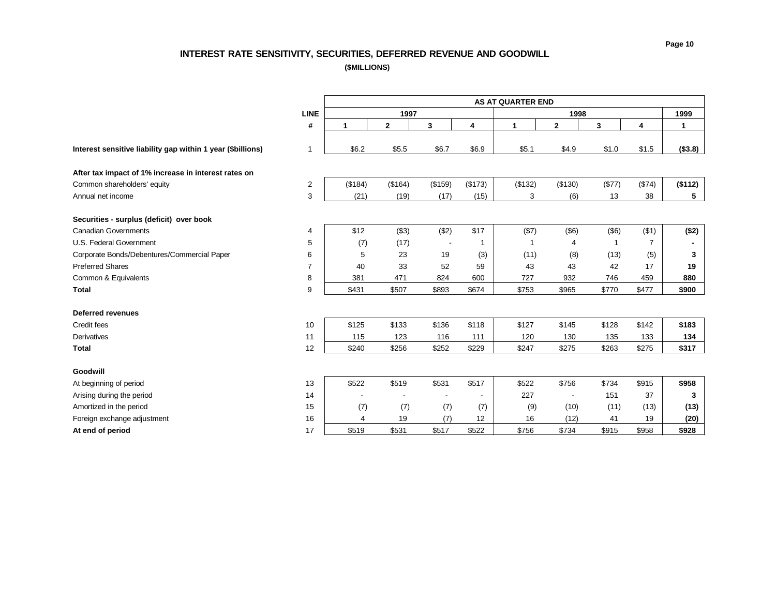# **INTEREST RATE SENSITIVITY, SECURITIES, DEFERRED REVENUE AND GOODWILL**

**(\$MILLIONS)**

<span id="page-10-0"></span>

|                                                             |                | <b>AS AT QUARTER END</b> |              |         |                          |         |                |        |                |         |  |  |
|-------------------------------------------------------------|----------------|--------------------------|--------------|---------|--------------------------|---------|----------------|--------|----------------|---------|--|--|
|                                                             | <b>LINE</b>    |                          | 1997         |         |                          |         | 1998           |        |                | 1999    |  |  |
|                                                             | #              | 1                        | $\mathbf{2}$ | 3       | 4                        | 1       | $\mathbf{2}$   | 3      | 4              | 1       |  |  |
|                                                             |                |                          |              |         |                          |         |                |        |                |         |  |  |
| Interest sensitive liability gap within 1 year (\$billions) | $\overline{1}$ | \$6.2                    | \$5.5        | \$6.7   | \$6.9                    | \$5.1   | \$4.9          | \$1.0  | \$1.5          | (\$3.8) |  |  |
| After tax impact of 1% increase in interest rates on        |                |                          |              |         |                          |         |                |        |                |         |  |  |
| Common shareholders' equity                                 | $\overline{c}$ | (\$184)                  | (\$164)      | (\$159) | (\$173)                  | (\$132) | (\$130)        | (\$77) | (\$74)         | (\$112) |  |  |
| Annual net income                                           | 3              | (21)                     | (19)         | (17)    | (15)                     | 3       | (6)            | 13     | 38             | 5       |  |  |
|                                                             |                |                          |              |         |                          |         |                |        |                |         |  |  |
| Securities - surplus (deficit) over book                    |                |                          |              |         |                          |         |                |        |                |         |  |  |
| <b>Canadian Governments</b>                                 | 4              | \$12                     | (\$3)        | (\$2)   | \$17                     | (\$7)   | $($ \$6)       | (\$6)  | (\$1)          | (\$2)   |  |  |
| U.S. Federal Government                                     | 5              | (7)                      | (17)         |         | $\mathbf{1}$             |         | 4              | -1     | $\overline{7}$ |         |  |  |
| Corporate Bonds/Debentures/Commercial Paper                 | 6              | 5                        | 23           | 19      | (3)                      | (11)    | (8)            | (13)   | (5)            | 3       |  |  |
| <b>Preferred Shares</b>                                     | $\overline{7}$ | 40                       | 33           | 52      | 59                       | 43      | 43             | 42     | 17             | 19      |  |  |
| Common & Equivalents                                        | 8              | 381                      | 471          | 824     | 600                      | 727     | 932            | 746    | 459            | 880     |  |  |
| <b>Total</b>                                                | 9              | \$431                    | \$507        | \$893   | \$674                    | \$753   | \$965          | \$770  | \$477          | \$900   |  |  |
|                                                             |                |                          |              |         |                          |         |                |        |                |         |  |  |
| <b>Deferred revenues</b>                                    |                |                          |              |         |                          |         |                |        |                |         |  |  |
| Credit fees                                                 | 10             | \$125                    | \$133        | \$136   | \$118                    | \$127   | \$145          | \$128  | \$142          | \$183   |  |  |
| Derivatives                                                 | 11             | 115                      | 123          | 116     | 111                      | 120     | 130            | 135    | 133            | 134     |  |  |
| <b>Total</b>                                                | 12             | \$240                    | \$256        | \$252   | \$229                    | \$247   | \$275          | \$263  | \$275          | \$317   |  |  |
|                                                             |                |                          |              |         |                          |         |                |        |                |         |  |  |
| Goodwill                                                    |                |                          |              |         |                          |         |                |        |                |         |  |  |
| At beginning of period                                      | 13             | \$522                    | \$519        | \$531   | \$517                    | \$522   | \$756          | \$734  | \$915          | \$958   |  |  |
| Arising during the period                                   | 14             |                          |              |         | $\overline{\phantom{a}}$ | 227     | $\blacksquare$ | 151    | 37             | 3       |  |  |
| Amortized in the period                                     | 15             | (7)                      | (7)          | (7)     | (7)                      | (9)     | (10)           | (11)   | (13)           | (13)    |  |  |
| Foreign exchange adjustment                                 | 16             | 4                        | 19           | (7)     | 12                       | 16      | (12)           | 41     | 19             | (20)    |  |  |
| At end of period                                            | 17             | \$519                    | \$531        | \$517   | \$522                    | \$756   | \$734          | \$915  | \$958          | \$928   |  |  |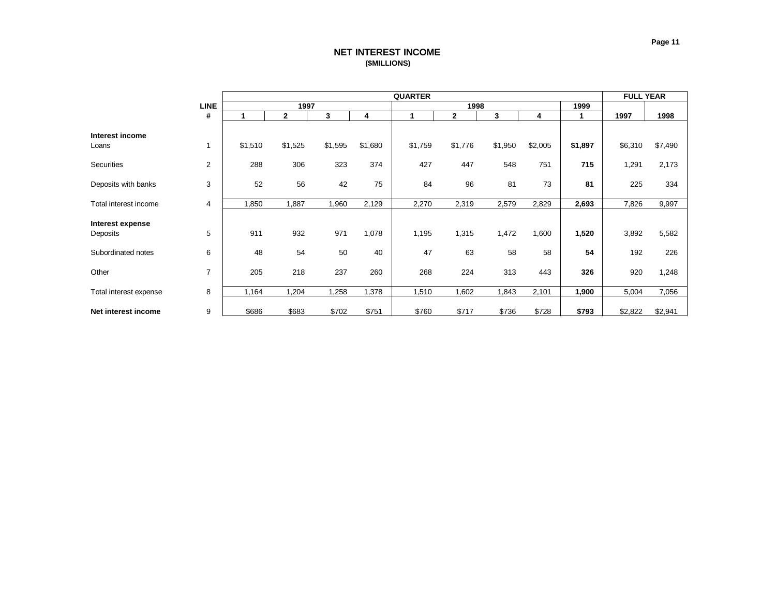# **NET INTEREST INCOME (\$MILLIONS)**

<span id="page-11-0"></span>

|                              |                |         |              | <b>FULL YEAR</b> |         |         |              |         |         |         |         |         |
|------------------------------|----------------|---------|--------------|------------------|---------|---------|--------------|---------|---------|---------|---------|---------|
|                              | <b>LINE</b>    |         | 1997         |                  |         |         | 1998         |         |         | 1999    |         |         |
|                              | #              |         | $\mathbf{2}$ | 3                | 4       | 1       | $\mathbf{2}$ | 3       | 4       | 1       | 1997    | 1998    |
| Interest income<br>Loans     |                | \$1,510 | \$1,525      | \$1,595          | \$1,680 | \$1,759 | \$1,776      | \$1,950 | \$2,005 | \$1,897 | \$6,310 | \$7,490 |
| Securities                   | 2              | 288     | 306          | 323              | 374     | 427     | 447          | 548     | 751     | 715     | 1,291   | 2,173   |
| Deposits with banks          | 3              | 52      | 56           | 42               | 75      | 84      | 96           | 81      | 73      | 81      | 225     | 334     |
| Total interest income        | 4              | 1,850   | 1,887        | 1,960            | 2,129   | 2,270   | 2,319        | 2,579   | 2,829   | 2,693   | 7,826   | 9,997   |
| Interest expense<br>Deposits | 5              | 911     | 932          | 971              | 1,078   | 1,195   | 1,315        | 1,472   | 1,600   | 1,520   | 3,892   | 5,582   |
| Subordinated notes           | 6              | 48      | 54           | 50               | 40      | 47      | 63           | 58      | 58      | 54      | 192     | 226     |
| Other                        | $\overline{7}$ | 205     | 218          | 237              | 260     | 268     | 224          | 313     | 443     | 326     | 920     | 1,248   |
| Total interest expense       | 8              | 1,164   | 1,204        | 1,258            | 1,378   | 1,510   | 1,602        | 1,843   | 2,101   | 1,900   | 5,004   | 7,056   |
| Net interest income          | 9              | \$686   | \$683        | \$702            | \$751   | \$760   | \$717        | \$736   | \$728   | \$793   | \$2,822 | \$2,941 |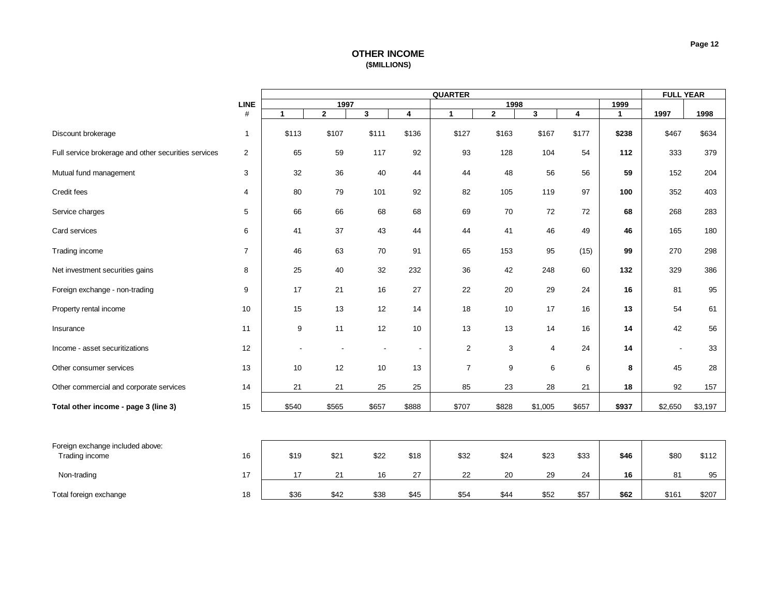# **OTHER INCOME (\$MILLIONS)**

<span id="page-12-0"></span>

|                                                      |                | <b>QUARTER</b> |              |       |                          |                |              |                | <b>FULL YEAR</b>        |              |         |         |
|------------------------------------------------------|----------------|----------------|--------------|-------|--------------------------|----------------|--------------|----------------|-------------------------|--------------|---------|---------|
|                                                      | <b>LINE</b>    |                | 1997         |       |                          |                | 1998         |                |                         | 1999         |         |         |
|                                                      | #              | $\mathbf{1}$   | $\mathbf{2}$ | 3     | 4                        | $\mathbf{1}$   | $\mathbf{2}$ | $\mathbf{3}$   | $\overline{\mathbf{4}}$ | $\mathbf{1}$ | 1997    | 1998    |
| Discount brokerage                                   | $\mathbf{1}$   | \$113          | \$107        | \$111 | \$136                    | \$127          | \$163        | \$167          | \$177                   | \$238        | \$467   | \$634   |
| Full service brokerage and other securities services | 2              | 65             | 59           | 117   | 92                       | 93             | 128          | 104            | 54                      | 112          | 333     | 379     |
| Mutual fund management                               | 3              | 32             | 36           | 40    | 44                       | 44             | 48           | 56             | 56                      | 59           | 152     | 204     |
| Credit fees                                          | $\overline{4}$ | 80             | 79           | 101   | 92                       | 82             | 105          | 119            | 97                      | 100          | 352     | 403     |
| Service charges                                      | 5              | 66             | 66           | 68    | 68                       | 69             | 70           | 72             | 72                      | 68           | 268     | 283     |
| Card services                                        | 6              | 41             | 37           | 43    | 44                       | 44             | 41           | 46             | 49                      | 46           | 165     | 180     |
| Trading income                                       | $\overline{7}$ | 46             | 63           | 70    | 91                       | 65             | 153          | 95             | (15)                    | 99           | 270     | 298     |
| Net investment securities gains                      | 8              | 25             | 40           | 32    | 232                      | 36             | 42           | 248            | 60                      | 132          | 329     | 386     |
| Foreign exchange - non-trading                       | 9              | 17             | 21           | 16    | 27                       | 22             | 20           | 29             | 24                      | 16           | 81      | 95      |
| Property rental income                               | 10             | 15             | 13           | 12    | 14                       | 18             | 10           | 17             | 16                      | 13           | 54      | 61      |
| Insurance                                            | 11             | 9              | 11           | 12    | 10                       | 13             | 13           | 14             | 16                      | 14           | 42      | 56      |
| Income - asset securitizations                       | 12             |                |              |       | $\overline{\phantom{a}}$ | $\overline{c}$ | 3            | $\overline{4}$ | 24                      | 14           | ä,      | 33      |
| Other consumer services                              | 13             | 10             | 12           | 10    | 13                       | $\overline{7}$ | 9            | 6              | 6                       | 8            | 45      | 28      |
| Other commercial and corporate services              | 14             | 21             | 21           | 25    | 25                       | 85             | 23           | 28             | 21                      | 18           | 92      | 157     |
| Total other income - page 3 (line 3)                 | 15             | \$540          | \$565        | \$657 | \$888                    | \$707          | \$828        | \$1,005        | \$657                   | \$937        | \$2,650 | \$3,197 |
|                                                      |                |                |              |       |                          |                |              |                |                         |              |         |         |
| Foreign exchange included above:<br>Trading income   | 16             | \$19           | \$21         | \$22  | \$18                     | \$32           | \$24         | \$23           | \$33                    | \$46         | \$80    | \$112   |
|                                                      |                |                |              |       |                          |                |              |                |                         |              |         |         |
| Non-trading                                          | 17             | 17             | 21           | 16    | 27                       | 22             | 20           | 29             | 24                      | 16           | 81      | 95      |
| Total foreign exchange                               | 18             | \$36           | \$42         | \$38  | \$45                     | \$54           | \$44         | \$52           | \$57                    | \$62         | \$161   | \$207   |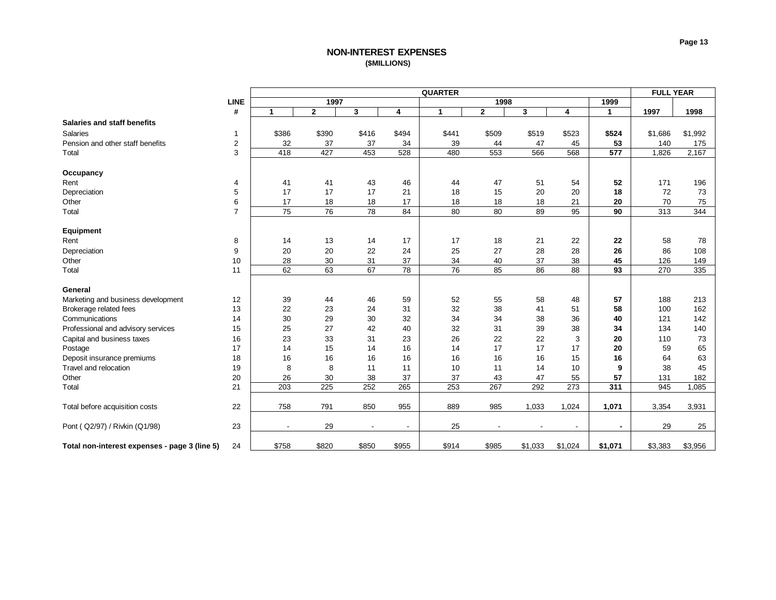# **NON-INTEREST EXPENSES (\$MILLIONS)**

<span id="page-13-0"></span>

|                                               |                  | <b>QUARTER</b>           |              |                          |                          |                 |              |         |                          |                |         | <b>FULL YEAR</b> |  |
|-----------------------------------------------|------------------|--------------------------|--------------|--------------------------|--------------------------|-----------------|--------------|---------|--------------------------|----------------|---------|------------------|--|
|                                               | <b>LINE</b>      |                          | 1997         |                          |                          |                 | 1998         |         |                          | 1999           |         |                  |  |
|                                               | #                | 1                        | $\mathbf{2}$ | 3                        | 4                        | $\mathbf{1}$    | $\mathbf{2}$ | 3       | 4                        | $\mathbf{1}$   | 1997    | 1998             |  |
| <b>Salaries and staff benefits</b>            |                  |                          |              |                          |                          |                 |              |         |                          |                |         |                  |  |
| <b>Salaries</b>                               | $\mathbf{1}$     | \$386                    | \$390        | \$416                    | \$494                    | \$441           | \$509        | \$519   | \$523                    | \$524          | \$1,686 | \$1,992          |  |
| Pension and other staff benefits              | $\boldsymbol{2}$ | 32                       | 37           | 37                       | 34                       | 39              | 44           | 47      | 45                       | 53             | 140     | 175              |  |
| Total                                         | 3                | 418                      | 427          | 453                      | 528                      | 480             | 553          | 566     | 568                      | 577            | 1,826   | 2,167            |  |
|                                               |                  |                          |              |                          |                          |                 |              |         |                          |                |         |                  |  |
| Occupancy                                     |                  |                          |              |                          |                          |                 |              |         |                          |                |         |                  |  |
| Rent                                          | 4                | 41                       | 41           | 43                       | 46                       | 44              | 47           | 51      | 54                       | 52             | 171     | 196              |  |
| Depreciation                                  | 5                | 17                       | 17           | 17                       | 21                       | 18              | 15           | 20      | 20                       | 18             | 72      | 73               |  |
| Other                                         | 6                | 17                       | 18           | 18                       | 17                       | 18              | 18           | 18      | 21                       | 20             | 70      | 75               |  |
| Total                                         | $\overline{7}$   | 75                       | 76           | 78                       | 84                       | 80              | 80           | 89      | 95                       | 90             | 313     | 344              |  |
|                                               |                  |                          |              |                          |                          |                 |              |         |                          |                |         |                  |  |
| Equipment                                     |                  |                          |              |                          |                          |                 |              |         |                          |                |         |                  |  |
| Rent                                          | 8                | 14                       | 13           | 14                       | 17                       | 17              | 18           | 21      | 22                       | 22             | 58      | 78               |  |
| Depreciation                                  | 9                | 20                       | 20           | 22                       | 24                       | 25              | 27           | 28      | 28                       | 26             | 86      | 108              |  |
| Other                                         | 10               | 28                       | 30           | 31                       | 37                       | 34              | 40           | 37      | 38                       | 45             | 126     | 149              |  |
| Total                                         | 11               | 62                       | 63           | 67                       | 78                       | $\overline{76}$ | 85           | 86      | 88                       | 93             | 270     | 335              |  |
|                                               |                  |                          |              |                          |                          |                 |              |         |                          |                |         |                  |  |
| General                                       |                  |                          |              |                          |                          |                 |              |         |                          |                |         |                  |  |
| Marketing and business development            | 12               | 39                       | 44           | 46                       | 59                       | 52              | 55           | 58      | 48                       | 57             | 188     | 213              |  |
| Brokerage related fees                        | 13               | 22                       | 23           | 24                       | 31                       | 32              | 38           | 41      | 51                       | 58             | 100     | 162              |  |
| Communications                                | 14               | 30                       | 29           | 30                       | 32                       | 34              | 34           | 38      | 36                       | 40             | 121     | 142              |  |
| Professional and advisory services            | 15               | 25                       | 27           | 42                       | 40                       | 32              | 31           | 39      | 38                       | 34             | 134     | 140              |  |
| Capital and business taxes                    | 16               | 23                       | 33           | 31                       | 23                       | 26              | 22           | 22      | 3                        | 20             | 110     | 73               |  |
| Postage                                       | 17               | 14                       | 15           | 14                       | 16                       | 14              | 17           | 17      | 17                       | 20             | 59      | 65               |  |
| Deposit insurance premiums                    | 18               | 16                       | 16           | 16                       | 16                       | 16              | 16           | 16      | 15                       | 16             | 64      | 63               |  |
| Travel and relocation                         | 19               | 8                        | 8            | 11                       | 11                       | 10              | 11           | 14      | 10                       | 9              | 38      | 45               |  |
| Other                                         | 20               | 26                       | 30           | 38                       | 37                       | 37              | 43           | 47      | 55                       | 57             | 131     | 182              |  |
| Total                                         | 21               | 203                      | 225          | 252                      | 265                      | 253             | 267          | 292     | 273                      | 311            | 945     | 1,085            |  |
|                                               |                  |                          |              |                          |                          |                 |              |         |                          |                |         |                  |  |
| Total before acquisition costs                | 22               | 758                      | 791          | 850                      | 955                      | 889             | 985          | 1,033   | 1,024                    | 1,071          | 3,354   | 3,931            |  |
|                                               |                  |                          |              |                          |                          |                 |              |         |                          |                |         |                  |  |
| Pont ( Q2/97) / Rivkin (Q1/98)                | 23               | $\overline{\phantom{a}}$ | 29           | $\overline{\phantom{a}}$ | $\overline{\phantom{a}}$ | 25              |              |         | $\overline{\phantom{a}}$ | $\blacksquare$ | 29      | 25               |  |
| Total non-interest expenses - page 3 (line 5) | 24               | \$758                    | \$820        | \$850                    | \$955                    | \$914           | \$985        | \$1,033 | \$1,024                  | \$1,071        | \$3,383 | \$3,956          |  |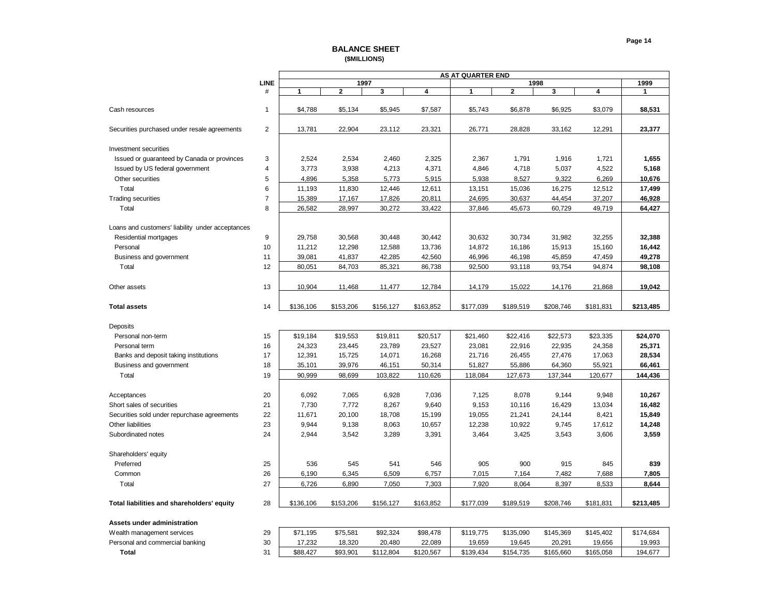### **Page 14**

| <b>BALANCE SHEET</b> |
|----------------------|
| (\$MILLIONS)         |

<span id="page-14-0"></span>

|                                                  |                |              |              |           |           | <b>AS AT QUARTER END</b> |           |           |           |              |
|--------------------------------------------------|----------------|--------------|--------------|-----------|-----------|--------------------------|-----------|-----------|-----------|--------------|
|                                                  | <b>LINE</b>    |              | 1997         |           |           |                          | 1998      |           |           | 1999         |
|                                                  | #              | $\mathbf{1}$ | $\mathbf{2}$ | 3         | 4         | 1                        | 2         | 3         | 4         | $\mathbf{1}$ |
|                                                  |                |              |              |           |           |                          |           |           |           |              |
| Cash resources                                   | $\mathbf{1}$   | \$4,788      | \$5,134      | \$5,945   | \$7,587   | \$5,743                  | \$6,878   | \$6,925   | \$3,079   | \$8,531      |
|                                                  |                |              |              |           |           |                          |           |           |           |              |
| Securities purchased under resale agreements     | $\overline{2}$ | 13,781       | 22,904       | 23,112    | 23,321    | 26,771                   | 28,828    | 33,162    | 12,291    | 23,377       |
|                                                  |                |              |              |           |           |                          |           |           |           |              |
| <b>Investment securities</b>                     |                |              |              |           |           |                          |           |           |           |              |
| Issued or guaranteed by Canada or provinces      | 3              | 2,524        | 2,534        | 2,460     | 2,325     | 2,367                    | 1,791     | 1,916     | 1,721     | 1,655        |
| Issued by US federal government                  | $\overline{4}$ | 3,773        | 3,938        | 4,213     | 4,371     | 4,846                    | 4,718     | 5,037     | 4,522     | 5,168        |
| Other securities                                 | 5              | 4,896        | 5,358        | 5,773     | 5,915     | 5,938                    | 8,527     | 9,322     | 6,269     | 10,676       |
| Total                                            | 6              | 11,193       | 11,830       | 12,446    | 12,611    | 13,151                   | 15,036    | 16,275    | 12,512    | 17,499       |
| <b>Trading securities</b>                        | $\overline{7}$ | 15,389       | 17,167       | 17,826    | 20,811    | 24,695                   | 30,637    | 44,454    | 37,207    | 46,928       |
| Total                                            | 8              | 26,582       | 28,997       | 30,272    | 33,422    | 37,846                   | 45,673    | 60,729    | 49,719    | 64,427       |
|                                                  |                |              |              |           |           |                          |           |           |           |              |
| Loans and customers' liability under acceptances |                |              |              |           |           |                          |           |           |           |              |
| Residential mortgages                            | 9              | 29,758       | 30,568       | 30,448    | 30,442    | 30,632                   | 30,734    | 31,982    | 32,255    | 32,388       |
| Personal                                         | 10             | 11,212       | 12,298       | 12,588    | 13,736    | 14,872                   | 16,186    | 15,913    | 15,160    | 16,442       |
| Business and government                          | 11             | 39,081       | 41,837       | 42,285    | 42,560    | 46,996                   | 46,198    | 45,859    | 47,459    | 49,278       |
| Total                                            | 12             | 80,051       | 84,703       | 85,321    | 86,738    | 92,500                   | 93,118    | 93,754    | 94,874    | 98,108       |
|                                                  |                |              |              |           |           |                          |           |           |           |              |
| Other assets                                     | 13             | 10,904       | 11,468       | 11,477    | 12,784    | 14,179                   | 15,022    | 14,176    | 21,868    | 19,042       |
|                                                  |                |              |              |           |           |                          |           |           |           |              |
| <b>Total assets</b>                              | 14             | \$136,106    | \$153,206    | \$156,127 | \$163,852 | \$177,039                | \$189,519 | \$208,746 | \$181,831 | \$213,485    |
|                                                  |                |              |              |           |           |                          |           |           |           |              |
| Deposits                                         |                |              |              |           |           |                          |           |           |           |              |
| Personal non-term                                | 15             | \$19,184     | \$19,553     | \$19,811  | \$20,517  | \$21,460                 | \$22,416  | \$22,573  | \$23,335  | \$24,070     |
| Personal term                                    | 16             | 24,323       | 23,445       | 23,789    | 23,527    | 23,081                   | 22,916    | 22,935    | 24,358    | 25,371       |
| Banks and deposit taking institutions            | 17             | 12,391       | 15,725       | 14,071    | 16,268    | 21,716                   | 26,455    | 27,476    | 17,063    | 28,534       |
| Business and government                          | 18             | 35,101       | 39,976       | 46,151    | 50,314    | 51,827                   | 55,886    | 64,360    | 55,921    | 66,461       |
| Total                                            | 19             | 90,999       | 98,699       | 103,822   | 110,626   | 118,084                  | 127,673   | 137,344   | 120,677   | 144,436      |
|                                                  |                |              |              |           |           |                          |           |           |           |              |
| Acceptances                                      | 20             | 6,092        | 7,065        | 6,928     | 7,036     | 7,125                    | 8,078     | 9,144     | 9,948     | 10,267       |
| Short sales of securities                        | 21             | 7,730        | 7,772        | 8,267     | 9,640     | 9,153                    | 10,116    | 16,429    | 13,034    | 16,482       |
| Securities sold under repurchase agreements      | 22             | 11,671       | 20,100       | 18,708    | 15,199    | 19,055                   | 21,241    | 24,144    | 8,421     | 15,849       |
| Other liabilities                                | 23             | 9,944        | 9,138        | 8,063     | 10,657    | 12,238                   | 10,922    | 9,745     | 17,612    | 14,248       |
| Subordinated notes                               | 24             | 2,944        | 3,542        | 3,289     | 3,391     | 3,464                    | 3,425     | 3,543     | 3,606     | 3,559        |
|                                                  |                |              |              |           |           |                          |           |           |           |              |
| Shareholders' equity                             |                |              |              |           |           |                          |           |           |           |              |
| Preferred                                        | 25             | 536          | 545          | 541       | 546       | 905                      | 900       | 915       | 845       | 839          |
| Common                                           | 26             |              |              |           |           |                          | 7,164     |           |           |              |
| Total                                            | 27             | 6,190        | 6,345        | 6,509     | 6,757     | 7,015                    |           | 7,482     | 7,688     | 7,805        |
|                                                  |                | 6,726        | 6,890        | 7,050     | 7,303     | 7,920                    | 8,064     | 8,397     | 8,533     | 8,644        |
|                                                  | 28             | \$136,106    | \$153,206    | \$156,127 | \$163,852 | \$177,039                | \$189,519 | \$208,746 | \$181,831 | \$213,485    |
| Total liabilities and shareholders' equity       |                |              |              |           |           |                          |           |           |           |              |
|                                                  |                |              |              |           |           |                          |           |           |           |              |
| Assets under administration                      |                |              |              |           |           |                          |           |           |           |              |
| Wealth management services                       | 29             | \$71,195     | \$75,581     | \$92,324  | \$98,478  | \$119,775                | \$135,090 | \$145,369 | \$145,402 | \$174,684    |
| Personal and commercial banking                  | 30             | 17,232       | 18,320       | 20,480    | 22,089    | 19,659                   | 19,645    | 20,291    | 19,656    | 19,993       |

 **Total** 31 \$88,427 \$93,901 \$112,804 \$120,567 \$139,434 \$154,735 \$165,660 \$165,058 194,677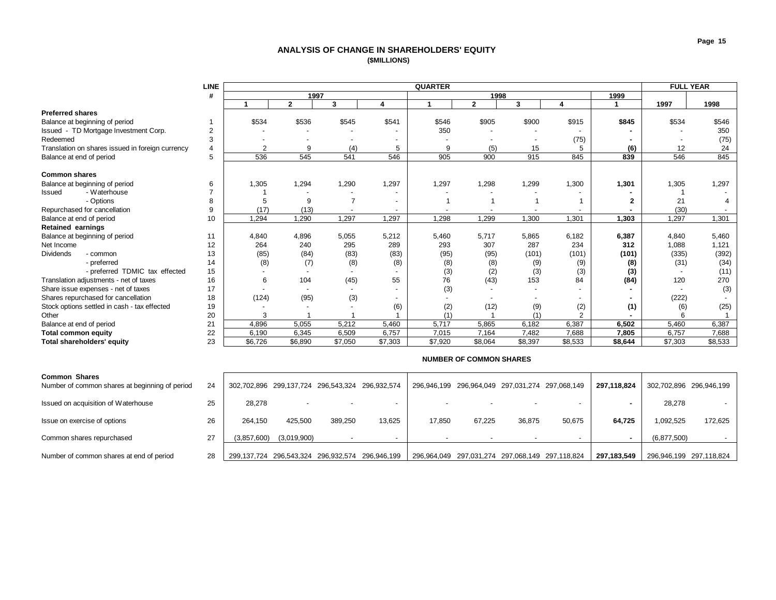## **ANALYSIS OF CHANGE IN SHAREHOLDERS' EQUITY (\$MILLIONS)**

<span id="page-15-0"></span>

|                                                  | <b>LINE</b> | <b>QUARTER</b> |              |                |                          |         |                |         |                |         | <b>FULL YEAR</b> |         |
|--------------------------------------------------|-------------|----------------|--------------|----------------|--------------------------|---------|----------------|---------|----------------|---------|------------------|---------|
|                                                  | #           |                | 1997         |                |                          |         | 1998           |         |                | 1999    |                  |         |
|                                                  |             |                | $\mathbf{2}$ | 3              | 4                        |         | $\overline{2}$ | 3       | 4              |         | 1997             | 1998    |
| <b>Preferred shares</b>                          |             |                |              |                |                          |         |                |         |                |         |                  |         |
| Balance at beginning of period                   |             | \$534          | \$536        | \$545          | \$541                    | \$546   | \$905          | \$900   | \$915          | \$845   | \$534            | \$546   |
| Issued - TD Mortgage Investment Corp.            |             |                |              |                |                          | 350     |                |         |                |         |                  | 350     |
| Redeemed                                         |             |                |              |                | $\overline{\phantom{a}}$ |         |                |         | (75)           |         |                  | (75)    |
| Translation on shares issued in foreign currency |             | $\overline{2}$ | 9            | (4)            | 5                        | 9       | (5)            | 15      | 5              | (6)     | 12               | 24      |
| Balance at end of period                         | 5           | 536            | 545          | 541            | 546                      | 905     | 900            | 915     | 845            | 839     | 546              | 845     |
|                                                  |             |                |              |                |                          |         |                |         |                |         |                  |         |
| <b>Common shares</b>                             |             |                |              |                |                          |         |                |         |                |         |                  |         |
| Balance at beginning of period                   | 6           | 1,305          | 1,294        | 1,290          | 1,297                    | 1,297   | 1,298          | 1,299   | 1,300          | 1,301   | 1,305            | 1,297   |
| - Waterhouse<br>Issued                           |             |                |              |                | $\sim$                   |         |                |         |                |         |                  |         |
| - Options                                        | 8           |                | 9            | $\overline{7}$ | $\overline{a}$           |         |                |         |                |         | 21               |         |
| Repurchased for cancellation                     | 9           | (17)           | (13)         |                | $\sim$                   |         |                |         |                |         | (30)             |         |
| Balance at end of period                         | 10          | 1,294          | 1,290        | 1,297          | 1,297                    | 1,298   | 1,299          | 1,300   | 1,301          | 1,303   | 1,297            | 1,301   |
| <b>Retained earnings</b>                         |             |                |              |                |                          |         |                |         |                |         |                  |         |
| Balance at beginning of period                   | 11          | 4,840          | 4,896        | 5,055          | 5,212                    | 5,460   | 5,717          | 5,865   | 6,182          | 6,387   | 4,840            | 5,460   |
| Net Income                                       | 12          | 264            | 240          | 295            | 289                      | 293     | 307            | 287     | 234            | 312     | 1,088            | 1,121   |
| <b>Dividends</b><br>- common                     | 13          | (85)           | (84)         | (83)           | (83)                     | (95)    | (95)           | (101)   | (101)          | (101)   | (335)            | (392)   |
| - preferred                                      | 14          | (8)            | (7)          | (8)            | (8)                      | (8)     | (8)            | (9)     | (9)            | (8)     | (31)             | (34)    |
| - preferred TDMIC tax effected                   | 15          |                |              |                |                          | (3)     | (2)            | (3)     | (3)            | (3)     |                  | (11)    |
| Translation adjustments - net of taxes           | 16          | 6              | 104          | (45)           | 55                       | 76      | (43)           | 153     | 84             | (84)    | 120              | 270     |
| Share issue expenses - net of taxes              | 17          |                |              |                | $\overline{a}$           | (3)     |                |         |                |         |                  | (3)     |
| Shares repurchased for cancellation              | 18          | (124)          | (95)         | (3)            | $\overline{\phantom{a}}$ |         |                |         |                |         | (222)            |         |
| Stock options settled in cash - tax effected     | 19          |                |              |                | (6)                      | (2)     | (12)           | (9)     | (2)            | (1)     | (6)              | (25)    |
| Other                                            | 20          | 3              |              |                |                          |         |                |         | $\overline{2}$ |         |                  |         |
| Balance at end of period                         | 21          | 4,896          | 5,055        | 5.212          | 5.460                    | 5.717   | 5.865          | 6.182   | 6,387          | 6,502   | 5,460            | 6,387   |
| <b>Total common equity</b>                       | 22          | 6,190          | 6,345        | 6,509          | 6,757                    | 7,015   | 7,164          | 7,482   | 7,688          | 7,805   | 6,757            | 7,688   |
| Total shareholders' equity                       | 23          | \$6,726        | \$6,890      | \$7,050        | \$7,303                  | \$7,920 | \$8,064        | \$8,397 | \$8,533        | \$8,644 | \$7,303          | \$8,533 |

|                                                                        |    |             |                                                 |         |                                                 |                          | <b>INVITIBLIN OF CONTINUIT SHAKLO</b> |                                                 |        |             |                         |                         |  |
|------------------------------------------------------------------------|----|-------------|-------------------------------------------------|---------|-------------------------------------------------|--------------------------|---------------------------------------|-------------------------------------------------|--------|-------------|-------------------------|-------------------------|--|
| <b>Common Shares</b><br>Number of common shares at beginning of period | 24 |             | 302,702,896 299,137,724 296,543,324 296,932,574 |         |                                                 |                          |                                       | 296,946,199 296,964,049 297,031,274 297,068,149 |        | 297,118,824 | 302,702,896 296,946,199 |                         |  |
| Issued on acquisition of Waterhouse                                    | 25 | 28,278      | $\overline{\phantom{0}}$                        |         |                                                 | $\overline{\phantom{0}}$ | $\overline{\phantom{0}}$              |                                                 |        |             | 28,278                  |                         |  |
| Issue on exercise of options                                           | 26 | 264.150     | 425.500                                         | 389.250 | 13.625                                          | 17.850                   | 67.225                                | 36,875                                          | 50,675 | 64.725      | 1,092,525               | 172.625                 |  |
| Common shares repurchased                                              | 27 | (3,857,600) | (3,019,900)                                     |         |                                                 |                          |                                       |                                                 |        |             | (6,877,500)             |                         |  |
| Number of common shares at end of period                               | 28 |             |                                                 |         | 299,137,724 296,543,324 296,932,574 296,946,199 |                          |                                       | 296,964,049 297,031,274 297,068,149 297,118,824 |        | 297.183.549 |                         | 296,946,199 297,118,824 |  |

#### **NUMBER OF COMMON SHARES**

**Page 15**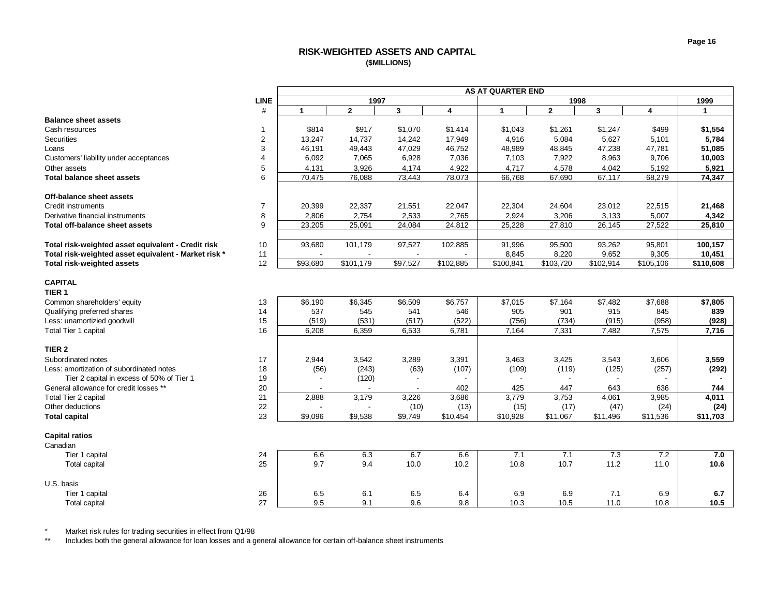# **RISK-WEIGHTED ASSETS AND CAPITAL (\$MILLIONS)**

<span id="page-16-0"></span>

| <b>LINE</b><br>1997<br>1999<br>1998<br>#<br>$\overline{2}$<br>3<br>4<br>$\mathbf{2}$<br>3<br>$\overline{\mathbf{4}}$<br>1<br>1<br>$\mathbf 1$<br><b>Balance sheet assets</b><br>\$917<br>\$1,554<br>Cash resources<br>\$814<br>\$1,070<br>\$1,414<br>\$1,043<br>\$1,261<br>\$1,247<br>\$499<br><b>Securities</b><br>$\overline{2}$<br>14,737<br>17,949<br>4,916<br>5,084<br>5,627<br>5,784<br>13,247<br>14,242<br>5,101<br>3<br>46,191<br>49,443<br>47,029<br>46,752<br>48,989<br>48,845<br>47,238<br>47,781<br>51,085<br>Loans<br>Customers' liability under acceptances<br>$\Delta$<br>6,092<br>7,065<br>6,928<br>7,036<br>7,103<br>8,963<br>9,706<br>7,922<br>10,003<br>5<br>4,922<br>Other assets<br>4,131<br>4,717<br>3,926<br>4,174<br>4,578<br>4,042<br>5,192<br>5,921<br>6<br>70,475<br>76,088<br>73,443<br>78,073<br>66,768<br>67,690<br>67,117<br>68,279<br>74,347<br><b>Total balance sheet assets</b><br>Off-balance sheet assets<br>$\overline{7}$<br><b>Credit instruments</b><br>22,337<br>20,399<br>21,551<br>22,047<br>22,304<br>24,604<br>23,012<br>22,515<br>21,468<br>Derivative financial instruments<br>8<br>2,806<br>2,533<br>2,765<br>2,924<br>3,133<br>5,007<br>4,342<br>2,754<br>3,206<br>9<br>23,205<br>25,091<br>24,084<br>25,228<br>27,810<br>25,810<br><b>Total off-balance sheet assets</b><br>24,812<br>26,145<br>27,522<br>Total risk-weighted asset equivalent - Credit risk<br>10<br>93,680<br>101,179<br>97,527<br>102,885<br>91,996<br>95,500<br>93,262<br>95,801<br>100,157<br>Total risk-weighted asset equivalent - Market risk *<br>11<br>8,845<br>8,220<br>9,652<br>9,305<br>10,451<br>Total risk-weighted assets<br>12<br>\$93,680<br>\$101,179<br>\$97,527<br>\$102,885<br>$\overline{$}103,720$<br>\$102,914<br>\$110,608<br>\$100,841<br>\$105,106<br><b>CAPITAL</b><br>TIER <sub>1</sub><br>\$6,345<br>\$7,164<br>\$7,482<br>\$7,688<br>\$7,805<br>Common shareholders' equity<br>13<br>\$6,190<br>\$6,509<br>\$6,757<br>\$7,015<br>14<br>537<br>546<br>905<br>901<br>845<br>Qualifying preferred shares<br>545<br>541<br>915<br>839<br>15<br>(522)<br>(928)<br>Less: unamortizied goodwill<br>(519)<br>(531)<br>(517)<br>(756)<br>(734)<br>(915)<br>(958)<br>16<br>Total Tier 1 capital<br>6,208<br>6,359<br>6,533<br>6,781<br>7,164<br>7,482<br>7,575<br>7,331<br>7,716<br>TIER <sub>2</sub><br>Subordinated notes<br>17<br>2,944<br>3,542<br>3,289<br>3,391<br>3,463<br>3,425<br>3,543<br>3,606<br>3,559<br>Less: amortization of subordinated notes<br>18<br>(243)<br>(107)<br>(109)<br>(119)<br>(125)<br>(257)<br>(292)<br>(56)<br>(63)<br>Tier 2 capital in excess of 50% of Tier 1<br>19<br>(120)<br>$\blacksquare$<br>$\overline{\phantom{a}}$<br>$\overline{\phantom{a}}$<br>General allowance for credit losses **<br>20<br>425<br>447<br>643<br>744<br>402<br>636<br>Total Tier 2 capital<br>21<br>2,888<br>3,686<br>3,779<br>3,985<br>4,011<br>3,179<br>3,226<br>3,753<br>4,061<br>22<br>(15)<br>Other deductions<br>(10)<br>(13)<br>(17)<br>(47)<br>(24)<br>(24)<br>23<br><b>Total capital</b><br>\$9,096<br>\$9,538<br>\$9,749<br>\$10,454<br>\$10,928<br>\$11,496<br>\$11,536<br>\$11,703<br>\$11,067 |
|---------------------------------------------------------------------------------------------------------------------------------------------------------------------------------------------------------------------------------------------------------------------------------------------------------------------------------------------------------------------------------------------------------------------------------------------------------------------------------------------------------------------------------------------------------------------------------------------------------------------------------------------------------------------------------------------------------------------------------------------------------------------------------------------------------------------------------------------------------------------------------------------------------------------------------------------------------------------------------------------------------------------------------------------------------------------------------------------------------------------------------------------------------------------------------------------------------------------------------------------------------------------------------------------------------------------------------------------------------------------------------------------------------------------------------------------------------------------------------------------------------------------------------------------------------------------------------------------------------------------------------------------------------------------------------------------------------------------------------------------------------------------------------------------------------------------------------------------------------------------------------------------------------------------------------------------------------------------------------------------------------------------------------------------------------------------------------------------------------------------------------------------------------------------------------------------------------------------------------------------------------------------------------------------------------------------------------------------------------------------------------------------------------------------------------------------------------------------------------------------------------------------------------------------------------------------------------------------------------------------------------------------------------------------------------------------------------------------------------------------------------------------------------------------------------------------------------------------------------------------------------------------------------------------------------------------------------------------------------------------------------------------------------------------------------------------------------------------------------------------------------------------------------------------|
|                                                                                                                                                                                                                                                                                                                                                                                                                                                                                                                                                                                                                                                                                                                                                                                                                                                                                                                                                                                                                                                                                                                                                                                                                                                                                                                                                                                                                                                                                                                                                                                                                                                                                                                                                                                                                                                                                                                                                                                                                                                                                                                                                                                                                                                                                                                                                                                                                                                                                                                                                                                                                                                                                                                                                                                                                                                                                                                                                                                                                                                                                                                                                                     |
|                                                                                                                                                                                                                                                                                                                                                                                                                                                                                                                                                                                                                                                                                                                                                                                                                                                                                                                                                                                                                                                                                                                                                                                                                                                                                                                                                                                                                                                                                                                                                                                                                                                                                                                                                                                                                                                                                                                                                                                                                                                                                                                                                                                                                                                                                                                                                                                                                                                                                                                                                                                                                                                                                                                                                                                                                                                                                                                                                                                                                                                                                                                                                                     |
|                                                                                                                                                                                                                                                                                                                                                                                                                                                                                                                                                                                                                                                                                                                                                                                                                                                                                                                                                                                                                                                                                                                                                                                                                                                                                                                                                                                                                                                                                                                                                                                                                                                                                                                                                                                                                                                                                                                                                                                                                                                                                                                                                                                                                                                                                                                                                                                                                                                                                                                                                                                                                                                                                                                                                                                                                                                                                                                                                                                                                                                                                                                                                                     |
|                                                                                                                                                                                                                                                                                                                                                                                                                                                                                                                                                                                                                                                                                                                                                                                                                                                                                                                                                                                                                                                                                                                                                                                                                                                                                                                                                                                                                                                                                                                                                                                                                                                                                                                                                                                                                                                                                                                                                                                                                                                                                                                                                                                                                                                                                                                                                                                                                                                                                                                                                                                                                                                                                                                                                                                                                                                                                                                                                                                                                                                                                                                                                                     |
|                                                                                                                                                                                                                                                                                                                                                                                                                                                                                                                                                                                                                                                                                                                                                                                                                                                                                                                                                                                                                                                                                                                                                                                                                                                                                                                                                                                                                                                                                                                                                                                                                                                                                                                                                                                                                                                                                                                                                                                                                                                                                                                                                                                                                                                                                                                                                                                                                                                                                                                                                                                                                                                                                                                                                                                                                                                                                                                                                                                                                                                                                                                                                                     |
|                                                                                                                                                                                                                                                                                                                                                                                                                                                                                                                                                                                                                                                                                                                                                                                                                                                                                                                                                                                                                                                                                                                                                                                                                                                                                                                                                                                                                                                                                                                                                                                                                                                                                                                                                                                                                                                                                                                                                                                                                                                                                                                                                                                                                                                                                                                                                                                                                                                                                                                                                                                                                                                                                                                                                                                                                                                                                                                                                                                                                                                                                                                                                                     |
|                                                                                                                                                                                                                                                                                                                                                                                                                                                                                                                                                                                                                                                                                                                                                                                                                                                                                                                                                                                                                                                                                                                                                                                                                                                                                                                                                                                                                                                                                                                                                                                                                                                                                                                                                                                                                                                                                                                                                                                                                                                                                                                                                                                                                                                                                                                                                                                                                                                                                                                                                                                                                                                                                                                                                                                                                                                                                                                                                                                                                                                                                                                                                                     |
|                                                                                                                                                                                                                                                                                                                                                                                                                                                                                                                                                                                                                                                                                                                                                                                                                                                                                                                                                                                                                                                                                                                                                                                                                                                                                                                                                                                                                                                                                                                                                                                                                                                                                                                                                                                                                                                                                                                                                                                                                                                                                                                                                                                                                                                                                                                                                                                                                                                                                                                                                                                                                                                                                                                                                                                                                                                                                                                                                                                                                                                                                                                                                                     |
|                                                                                                                                                                                                                                                                                                                                                                                                                                                                                                                                                                                                                                                                                                                                                                                                                                                                                                                                                                                                                                                                                                                                                                                                                                                                                                                                                                                                                                                                                                                                                                                                                                                                                                                                                                                                                                                                                                                                                                                                                                                                                                                                                                                                                                                                                                                                                                                                                                                                                                                                                                                                                                                                                                                                                                                                                                                                                                                                                                                                                                                                                                                                                                     |
|                                                                                                                                                                                                                                                                                                                                                                                                                                                                                                                                                                                                                                                                                                                                                                                                                                                                                                                                                                                                                                                                                                                                                                                                                                                                                                                                                                                                                                                                                                                                                                                                                                                                                                                                                                                                                                                                                                                                                                                                                                                                                                                                                                                                                                                                                                                                                                                                                                                                                                                                                                                                                                                                                                                                                                                                                                                                                                                                                                                                                                                                                                                                                                     |
|                                                                                                                                                                                                                                                                                                                                                                                                                                                                                                                                                                                                                                                                                                                                                                                                                                                                                                                                                                                                                                                                                                                                                                                                                                                                                                                                                                                                                                                                                                                                                                                                                                                                                                                                                                                                                                                                                                                                                                                                                                                                                                                                                                                                                                                                                                                                                                                                                                                                                                                                                                                                                                                                                                                                                                                                                                                                                                                                                                                                                                                                                                                                                                     |
|                                                                                                                                                                                                                                                                                                                                                                                                                                                                                                                                                                                                                                                                                                                                                                                                                                                                                                                                                                                                                                                                                                                                                                                                                                                                                                                                                                                                                                                                                                                                                                                                                                                                                                                                                                                                                                                                                                                                                                                                                                                                                                                                                                                                                                                                                                                                                                                                                                                                                                                                                                                                                                                                                                                                                                                                                                                                                                                                                                                                                                                                                                                                                                     |
|                                                                                                                                                                                                                                                                                                                                                                                                                                                                                                                                                                                                                                                                                                                                                                                                                                                                                                                                                                                                                                                                                                                                                                                                                                                                                                                                                                                                                                                                                                                                                                                                                                                                                                                                                                                                                                                                                                                                                                                                                                                                                                                                                                                                                                                                                                                                                                                                                                                                                                                                                                                                                                                                                                                                                                                                                                                                                                                                                                                                                                                                                                                                                                     |
|                                                                                                                                                                                                                                                                                                                                                                                                                                                                                                                                                                                                                                                                                                                                                                                                                                                                                                                                                                                                                                                                                                                                                                                                                                                                                                                                                                                                                                                                                                                                                                                                                                                                                                                                                                                                                                                                                                                                                                                                                                                                                                                                                                                                                                                                                                                                                                                                                                                                                                                                                                                                                                                                                                                                                                                                                                                                                                                                                                                                                                                                                                                                                                     |
|                                                                                                                                                                                                                                                                                                                                                                                                                                                                                                                                                                                                                                                                                                                                                                                                                                                                                                                                                                                                                                                                                                                                                                                                                                                                                                                                                                                                                                                                                                                                                                                                                                                                                                                                                                                                                                                                                                                                                                                                                                                                                                                                                                                                                                                                                                                                                                                                                                                                                                                                                                                                                                                                                                                                                                                                                                                                                                                                                                                                                                                                                                                                                                     |
|                                                                                                                                                                                                                                                                                                                                                                                                                                                                                                                                                                                                                                                                                                                                                                                                                                                                                                                                                                                                                                                                                                                                                                                                                                                                                                                                                                                                                                                                                                                                                                                                                                                                                                                                                                                                                                                                                                                                                                                                                                                                                                                                                                                                                                                                                                                                                                                                                                                                                                                                                                                                                                                                                                                                                                                                                                                                                                                                                                                                                                                                                                                                                                     |
|                                                                                                                                                                                                                                                                                                                                                                                                                                                                                                                                                                                                                                                                                                                                                                                                                                                                                                                                                                                                                                                                                                                                                                                                                                                                                                                                                                                                                                                                                                                                                                                                                                                                                                                                                                                                                                                                                                                                                                                                                                                                                                                                                                                                                                                                                                                                                                                                                                                                                                                                                                                                                                                                                                                                                                                                                                                                                                                                                                                                                                                                                                                                                                     |
|                                                                                                                                                                                                                                                                                                                                                                                                                                                                                                                                                                                                                                                                                                                                                                                                                                                                                                                                                                                                                                                                                                                                                                                                                                                                                                                                                                                                                                                                                                                                                                                                                                                                                                                                                                                                                                                                                                                                                                                                                                                                                                                                                                                                                                                                                                                                                                                                                                                                                                                                                                                                                                                                                                                                                                                                                                                                                                                                                                                                                                                                                                                                                                     |
|                                                                                                                                                                                                                                                                                                                                                                                                                                                                                                                                                                                                                                                                                                                                                                                                                                                                                                                                                                                                                                                                                                                                                                                                                                                                                                                                                                                                                                                                                                                                                                                                                                                                                                                                                                                                                                                                                                                                                                                                                                                                                                                                                                                                                                                                                                                                                                                                                                                                                                                                                                                                                                                                                                                                                                                                                                                                                                                                                                                                                                                                                                                                                                     |
|                                                                                                                                                                                                                                                                                                                                                                                                                                                                                                                                                                                                                                                                                                                                                                                                                                                                                                                                                                                                                                                                                                                                                                                                                                                                                                                                                                                                                                                                                                                                                                                                                                                                                                                                                                                                                                                                                                                                                                                                                                                                                                                                                                                                                                                                                                                                                                                                                                                                                                                                                                                                                                                                                                                                                                                                                                                                                                                                                                                                                                                                                                                                                                     |
|                                                                                                                                                                                                                                                                                                                                                                                                                                                                                                                                                                                                                                                                                                                                                                                                                                                                                                                                                                                                                                                                                                                                                                                                                                                                                                                                                                                                                                                                                                                                                                                                                                                                                                                                                                                                                                                                                                                                                                                                                                                                                                                                                                                                                                                                                                                                                                                                                                                                                                                                                                                                                                                                                                                                                                                                                                                                                                                                                                                                                                                                                                                                                                     |
|                                                                                                                                                                                                                                                                                                                                                                                                                                                                                                                                                                                                                                                                                                                                                                                                                                                                                                                                                                                                                                                                                                                                                                                                                                                                                                                                                                                                                                                                                                                                                                                                                                                                                                                                                                                                                                                                                                                                                                                                                                                                                                                                                                                                                                                                                                                                                                                                                                                                                                                                                                                                                                                                                                                                                                                                                                                                                                                                                                                                                                                                                                                                                                     |
|                                                                                                                                                                                                                                                                                                                                                                                                                                                                                                                                                                                                                                                                                                                                                                                                                                                                                                                                                                                                                                                                                                                                                                                                                                                                                                                                                                                                                                                                                                                                                                                                                                                                                                                                                                                                                                                                                                                                                                                                                                                                                                                                                                                                                                                                                                                                                                                                                                                                                                                                                                                                                                                                                                                                                                                                                                                                                                                                                                                                                                                                                                                                                                     |
|                                                                                                                                                                                                                                                                                                                                                                                                                                                                                                                                                                                                                                                                                                                                                                                                                                                                                                                                                                                                                                                                                                                                                                                                                                                                                                                                                                                                                                                                                                                                                                                                                                                                                                                                                                                                                                                                                                                                                                                                                                                                                                                                                                                                                                                                                                                                                                                                                                                                                                                                                                                                                                                                                                                                                                                                                                                                                                                                                                                                                                                                                                                                                                     |
|                                                                                                                                                                                                                                                                                                                                                                                                                                                                                                                                                                                                                                                                                                                                                                                                                                                                                                                                                                                                                                                                                                                                                                                                                                                                                                                                                                                                                                                                                                                                                                                                                                                                                                                                                                                                                                                                                                                                                                                                                                                                                                                                                                                                                                                                                                                                                                                                                                                                                                                                                                                                                                                                                                                                                                                                                                                                                                                                                                                                                                                                                                                                                                     |
|                                                                                                                                                                                                                                                                                                                                                                                                                                                                                                                                                                                                                                                                                                                                                                                                                                                                                                                                                                                                                                                                                                                                                                                                                                                                                                                                                                                                                                                                                                                                                                                                                                                                                                                                                                                                                                                                                                                                                                                                                                                                                                                                                                                                                                                                                                                                                                                                                                                                                                                                                                                                                                                                                                                                                                                                                                                                                                                                                                                                                                                                                                                                                                     |
|                                                                                                                                                                                                                                                                                                                                                                                                                                                                                                                                                                                                                                                                                                                                                                                                                                                                                                                                                                                                                                                                                                                                                                                                                                                                                                                                                                                                                                                                                                                                                                                                                                                                                                                                                                                                                                                                                                                                                                                                                                                                                                                                                                                                                                                                                                                                                                                                                                                                                                                                                                                                                                                                                                                                                                                                                                                                                                                                                                                                                                                                                                                                                                     |
|                                                                                                                                                                                                                                                                                                                                                                                                                                                                                                                                                                                                                                                                                                                                                                                                                                                                                                                                                                                                                                                                                                                                                                                                                                                                                                                                                                                                                                                                                                                                                                                                                                                                                                                                                                                                                                                                                                                                                                                                                                                                                                                                                                                                                                                                                                                                                                                                                                                                                                                                                                                                                                                                                                                                                                                                                                                                                                                                                                                                                                                                                                                                                                     |
|                                                                                                                                                                                                                                                                                                                                                                                                                                                                                                                                                                                                                                                                                                                                                                                                                                                                                                                                                                                                                                                                                                                                                                                                                                                                                                                                                                                                                                                                                                                                                                                                                                                                                                                                                                                                                                                                                                                                                                                                                                                                                                                                                                                                                                                                                                                                                                                                                                                                                                                                                                                                                                                                                                                                                                                                                                                                                                                                                                                                                                                                                                                                                                     |
|                                                                                                                                                                                                                                                                                                                                                                                                                                                                                                                                                                                                                                                                                                                                                                                                                                                                                                                                                                                                                                                                                                                                                                                                                                                                                                                                                                                                                                                                                                                                                                                                                                                                                                                                                                                                                                                                                                                                                                                                                                                                                                                                                                                                                                                                                                                                                                                                                                                                                                                                                                                                                                                                                                                                                                                                                                                                                                                                                                                                                                                                                                                                                                     |
|                                                                                                                                                                                                                                                                                                                                                                                                                                                                                                                                                                                                                                                                                                                                                                                                                                                                                                                                                                                                                                                                                                                                                                                                                                                                                                                                                                                                                                                                                                                                                                                                                                                                                                                                                                                                                                                                                                                                                                                                                                                                                                                                                                                                                                                                                                                                                                                                                                                                                                                                                                                                                                                                                                                                                                                                                                                                                                                                                                                                                                                                                                                                                                     |
|                                                                                                                                                                                                                                                                                                                                                                                                                                                                                                                                                                                                                                                                                                                                                                                                                                                                                                                                                                                                                                                                                                                                                                                                                                                                                                                                                                                                                                                                                                                                                                                                                                                                                                                                                                                                                                                                                                                                                                                                                                                                                                                                                                                                                                                                                                                                                                                                                                                                                                                                                                                                                                                                                                                                                                                                                                                                                                                                                                                                                                                                                                                                                                     |
|                                                                                                                                                                                                                                                                                                                                                                                                                                                                                                                                                                                                                                                                                                                                                                                                                                                                                                                                                                                                                                                                                                                                                                                                                                                                                                                                                                                                                                                                                                                                                                                                                                                                                                                                                                                                                                                                                                                                                                                                                                                                                                                                                                                                                                                                                                                                                                                                                                                                                                                                                                                                                                                                                                                                                                                                                                                                                                                                                                                                                                                                                                                                                                     |
|                                                                                                                                                                                                                                                                                                                                                                                                                                                                                                                                                                                                                                                                                                                                                                                                                                                                                                                                                                                                                                                                                                                                                                                                                                                                                                                                                                                                                                                                                                                                                                                                                                                                                                                                                                                                                                                                                                                                                                                                                                                                                                                                                                                                                                                                                                                                                                                                                                                                                                                                                                                                                                                                                                                                                                                                                                                                                                                                                                                                                                                                                                                                                                     |
|                                                                                                                                                                                                                                                                                                                                                                                                                                                                                                                                                                                                                                                                                                                                                                                                                                                                                                                                                                                                                                                                                                                                                                                                                                                                                                                                                                                                                                                                                                                                                                                                                                                                                                                                                                                                                                                                                                                                                                                                                                                                                                                                                                                                                                                                                                                                                                                                                                                                                                                                                                                                                                                                                                                                                                                                                                                                                                                                                                                                                                                                                                                                                                     |
| <b>Capital ratios</b>                                                                                                                                                                                                                                                                                                                                                                                                                                                                                                                                                                                                                                                                                                                                                                                                                                                                                                                                                                                                                                                                                                                                                                                                                                                                                                                                                                                                                                                                                                                                                                                                                                                                                                                                                                                                                                                                                                                                                                                                                                                                                                                                                                                                                                                                                                                                                                                                                                                                                                                                                                                                                                                                                                                                                                                                                                                                                                                                                                                                                                                                                                                                               |
| Canadian                                                                                                                                                                                                                                                                                                                                                                                                                                                                                                                                                                                                                                                                                                                                                                                                                                                                                                                                                                                                                                                                                                                                                                                                                                                                                                                                                                                                                                                                                                                                                                                                                                                                                                                                                                                                                                                                                                                                                                                                                                                                                                                                                                                                                                                                                                                                                                                                                                                                                                                                                                                                                                                                                                                                                                                                                                                                                                                                                                                                                                                                                                                                                            |
| 6.7<br>7.1<br>7.1<br>Tier 1 capital<br>24<br>6.6<br>6.3<br>6.6<br>7.3<br>7.2<br>7.0                                                                                                                                                                                                                                                                                                                                                                                                                                                                                                                                                                                                                                                                                                                                                                                                                                                                                                                                                                                                                                                                                                                                                                                                                                                                                                                                                                                                                                                                                                                                                                                                                                                                                                                                                                                                                                                                                                                                                                                                                                                                                                                                                                                                                                                                                                                                                                                                                                                                                                                                                                                                                                                                                                                                                                                                                                                                                                                                                                                                                                                                                 |
| 25<br>9.7<br>9.4<br>10.0<br>10.2<br>10.7<br>11.2<br>10.8<br>11.0<br>10.6<br>Total capital                                                                                                                                                                                                                                                                                                                                                                                                                                                                                                                                                                                                                                                                                                                                                                                                                                                                                                                                                                                                                                                                                                                                                                                                                                                                                                                                                                                                                                                                                                                                                                                                                                                                                                                                                                                                                                                                                                                                                                                                                                                                                                                                                                                                                                                                                                                                                                                                                                                                                                                                                                                                                                                                                                                                                                                                                                                                                                                                                                                                                                                                           |
|                                                                                                                                                                                                                                                                                                                                                                                                                                                                                                                                                                                                                                                                                                                                                                                                                                                                                                                                                                                                                                                                                                                                                                                                                                                                                                                                                                                                                                                                                                                                                                                                                                                                                                                                                                                                                                                                                                                                                                                                                                                                                                                                                                                                                                                                                                                                                                                                                                                                                                                                                                                                                                                                                                                                                                                                                                                                                                                                                                                                                                                                                                                                                                     |
| U.S. basis                                                                                                                                                                                                                                                                                                                                                                                                                                                                                                                                                                                                                                                                                                                                                                                                                                                                                                                                                                                                                                                                                                                                                                                                                                                                                                                                                                                                                                                                                                                                                                                                                                                                                                                                                                                                                                                                                                                                                                                                                                                                                                                                                                                                                                                                                                                                                                                                                                                                                                                                                                                                                                                                                                                                                                                                                                                                                                                                                                                                                                                                                                                                                          |
| Tier 1 capital<br>26<br>6.5<br>6.1<br>6.5<br>6.4<br>6.9<br>6.9<br>7.1<br>6.9<br>6.7                                                                                                                                                                                                                                                                                                                                                                                                                                                                                                                                                                                                                                                                                                                                                                                                                                                                                                                                                                                                                                                                                                                                                                                                                                                                                                                                                                                                                                                                                                                                                                                                                                                                                                                                                                                                                                                                                                                                                                                                                                                                                                                                                                                                                                                                                                                                                                                                                                                                                                                                                                                                                                                                                                                                                                                                                                                                                                                                                                                                                                                                                 |
| 27<br>9.8<br>9.5<br>9.1<br>9.6<br>10.3<br>10.5<br>11.0<br>10.8<br>10.5<br>Total capital                                                                                                                                                                                                                                                                                                                                                                                                                                                                                                                                                                                                                                                                                                                                                                                                                                                                                                                                                                                                                                                                                                                                                                                                                                                                                                                                                                                                                                                                                                                                                                                                                                                                                                                                                                                                                                                                                                                                                                                                                                                                                                                                                                                                                                                                                                                                                                                                                                                                                                                                                                                                                                                                                                                                                                                                                                                                                                                                                                                                                                                                             |

\* Market risk rules for trading securities in effect from Q1/98

Includes both the general allowance for loan losses and a general allowance for certain off-balance sheet instruments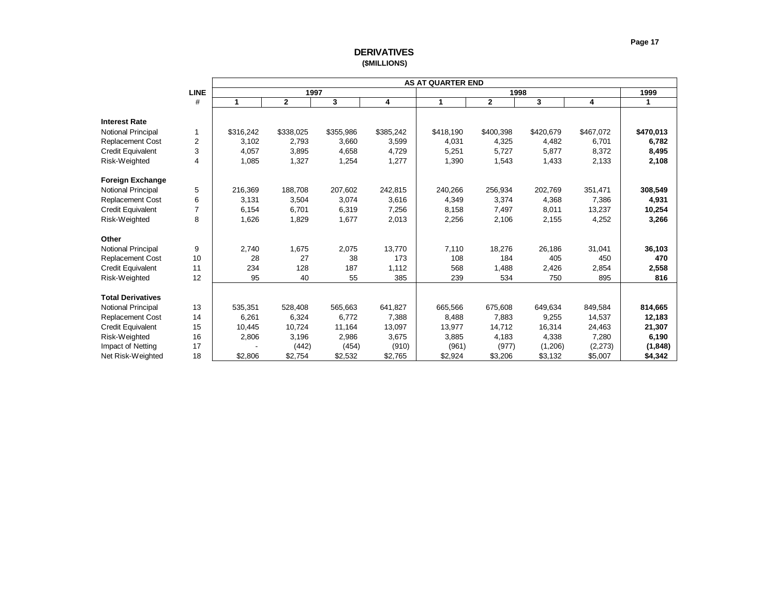# **DERIVATIVES (\$MILLIONS)**

<span id="page-17-0"></span>

|                           |                |           |              |           |           | <b>AS AT QUARTER END</b> |              |           |           |           |
|---------------------------|----------------|-----------|--------------|-----------|-----------|--------------------------|--------------|-----------|-----------|-----------|
|                           | <b>LINE</b>    |           | 1997         |           |           |                          | 1998         |           |           | 1999      |
|                           | #              | 1         | $\mathbf{2}$ | 3         | 4         | 1                        | $\mathbf{2}$ | 3         | 4         | 1         |
| <b>Interest Rate</b>      |                |           |              |           |           |                          |              |           |           |           |
| Notional Principal        | 1              | \$316,242 | \$338,025    | \$355,986 | \$385,242 | \$418,190                | \$400,398    | \$420,679 | \$467,072 | \$470,013 |
| <b>Replacement Cost</b>   | 2              | 3,102     | 2,793        | 3,660     | 3,599     | 4,031                    | 4,325        | 4,482     | 6,701     | 6,782     |
| <b>Credit Equivalent</b>  | 3              | 4,057     | 3,895        | 4,658     | 4,729     | 5,251                    | 5,727        | 5,877     | 8,372     | 8,495     |
| Risk-Weighted             | 4              | 1,085     | 1,327        | 1,254     |           | 1,390                    | 1,543        |           |           | 2,108     |
|                           |                |           |              |           | 1,277     |                          |              | 1,433     | 2,133     |           |
| Foreign Exchange          |                |           |              |           |           |                          |              |           |           |           |
| <b>Notional Principal</b> | 5              | 216,369   | 188,708      | 207,602   | 242,815   | 240,266                  | 256,934      | 202,769   | 351,471   | 308,549   |
| <b>Replacement Cost</b>   | 6              | 3,131     | 3,504        | 3,074     | 3,616     | 4,349                    | 3,374        | 4,368     | 7,386     | 4,931     |
| <b>Credit Equivalent</b>  | $\overline{7}$ | 6,154     | 6,701        | 6,319     | 7,256     | 8,158                    | 7,497        | 8,011     | 13,237    | 10,254    |
| Risk-Weighted             | 8              | 1,626     | 1,829        | 1,677     | 2,013     | 2,256                    | 2,106        | 2,155     | 4,252     | 3,266     |
| Other                     |                |           |              |           |           |                          |              |           |           |           |
| <b>Notional Principal</b> | 9              | 2,740     | 1,675        | 2,075     | 13.770    | 7,110                    | 18,276       | 26,186    | 31,041    | 36,103    |
| Replacement Cost          | 10             | 28        | 27           | 38        | 173       | 108                      | 184          | 405       | 450       | 470       |
| <b>Credit Equivalent</b>  | 11             | 234       | 128          | 187       | 1,112     | 568                      | 1,488        | 2,426     | 2,854     | 2,558     |
| Risk-Weighted             | 12             | 95        | 40           | 55        | 385       | 239                      | 534          | 750       | 895       | 816       |
|                           |                |           |              |           |           |                          |              |           |           |           |
| <b>Total Derivatives</b>  |                |           |              |           |           |                          |              |           |           |           |
| <b>Notional Principal</b> | 13             | 535,351   | 528,408      | 565,663   | 641,827   | 665,566                  | 675,608      | 649,634   | 849,584   | 814,665   |
| <b>Replacement Cost</b>   | 14             | 6,261     | 6,324        | 6,772     | 7,388     | 8,488                    | 7,883        | 9,255     | 14,537    | 12,183    |
| <b>Credit Equivalent</b>  | 15             | 10,445    | 10,724       | 11,164    | 13,097    | 13,977                   | 14,712       | 16,314    | 24,463    | 21,307    |
| Risk-Weighted             | 16             | 2,806     | 3,196        | 2,986     | 3,675     | 3,885                    | 4,183        | 4,338     | 7,280     | 6,190     |
| Impact of Netting         | 17             |           | (442)        | (454)     | (910)     | (961)                    | (977)        | (1,206)   | (2, 273)  | (1, 848)  |
| Net Risk-Weighted         | 18             | \$2,806   | \$2,754      | \$2,532   | \$2,765   | \$2,924                  | \$3,206      | \$3,132   | \$5,007   | \$4,342   |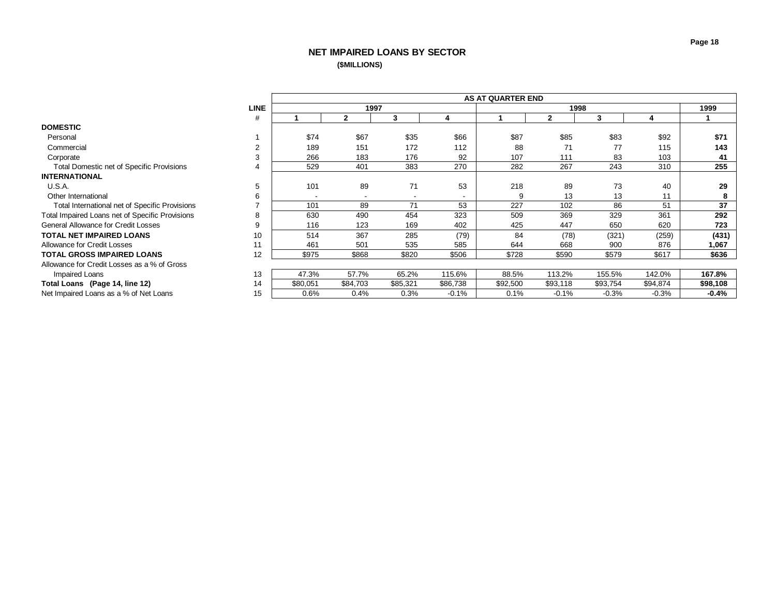# **NET IMPAIRED LOANS BY SECTOR (\$MILLIONS)**

<span id="page-18-0"></span>

|                                                  |             |          |                          |                          |          | <b>AS AT QUARTER END</b> |              |          |          |          |
|--------------------------------------------------|-------------|----------|--------------------------|--------------------------|----------|--------------------------|--------------|----------|----------|----------|
|                                                  | <b>LINE</b> |          | 1997                     |                          |          |                          |              | 1998     |          | 1999     |
|                                                  | #           |          | $\mathbf{2}$             | 3                        | 4        |                          | $\mathbf{2}$ | 3        | 4        |          |
| <b>DOMESTIC</b>                                  |             |          |                          |                          |          |                          |              |          |          |          |
| Personal                                         |             | \$74     | \$67                     | \$35                     | \$66     | \$87                     | \$85         | \$83     | \$92     | \$71     |
| Commercial                                       |             | 189      | 151                      | 172                      | 112      | 88                       | 71           | 77       | 115      | 143      |
| Corporate                                        | 3           | 266      | 183                      | 176                      | 92       | 107                      | 111          | 83       | 103      | 41       |
| <b>Total Domestic net of Specific Provisions</b> | 4           | 529      | 401                      | 383                      | 270      | 282                      | 267          | 243      | 310      | 255      |
| <b>INTERNATIONAL</b>                             |             |          |                          |                          |          |                          |              |          |          |          |
| U.S.A.                                           | 5           | 101      | 89                       | 71                       | 53       | 218                      | 89           | 73       | 40       | 29       |
| Other International                              | 6           |          | $\overline{\phantom{a}}$ | $\overline{\phantom{a}}$ | -        | 9                        | 13           | 13       | 11       | 8        |
| Total International net of Specific Provisions   |             | 101      | 89                       | 71                       | 53       | 227                      | 102          | 86       | 51       | 37       |
| Total Impaired Loans net of Specific Provisions  | 8           | 630      | 490                      | 454                      | 323      | 509                      | 369          | 329      | 361      | 292      |
| General Allowance for Credit Losses              | g           | 116      | 123                      | 169                      | 402      | 425                      | 447          | 650      | 620      | 723      |
| <b>TOTAL NET IMPAIRED LOANS</b>                  | 10          | 514      | 367                      | 285                      | (79)     | 84                       | (78)         | (321)    | (259)    | (431)    |
| Allowance for Credit Losses                      | 11          | 461      | 501                      | 535                      | 585      | 644                      | 668          | 900      | 876      | 1,067    |
| <b>TOTAL GROSS IMPAIRED LOANS</b>                | 12          | \$975    | \$868                    | \$820                    | \$506    | \$728                    | \$590        | \$579    | \$617    | \$636    |
| Allowance for Credit Losses as a % of Gross      |             |          |                          |                          |          |                          |              |          |          |          |
| Impaired Loans                                   | 13          | 47.3%    | 57.7%                    | 65.2%                    | 115.6%   | 88.5%                    | 113.2%       | 155.5%   | 142.0%   | 167.8%   |
| Total Loans (Page 14, line 12)                   | 14          | \$80,051 | \$84,703                 | \$85,321                 | \$86,738 | \$92,500                 | \$93,118     | \$93,754 | \$94,874 | \$98,108 |
| Net Impaired Loans as a % of Net Loans           | 15          | $0.6\%$  | 0.4%                     | 0.3%                     | $-0.1%$  | 0.1%                     | $-0.1%$      | $-0.3%$  | $-0.3%$  | $-0.4%$  |
|                                                  |             |          |                          |                          |          |                          |              |          |          |          |